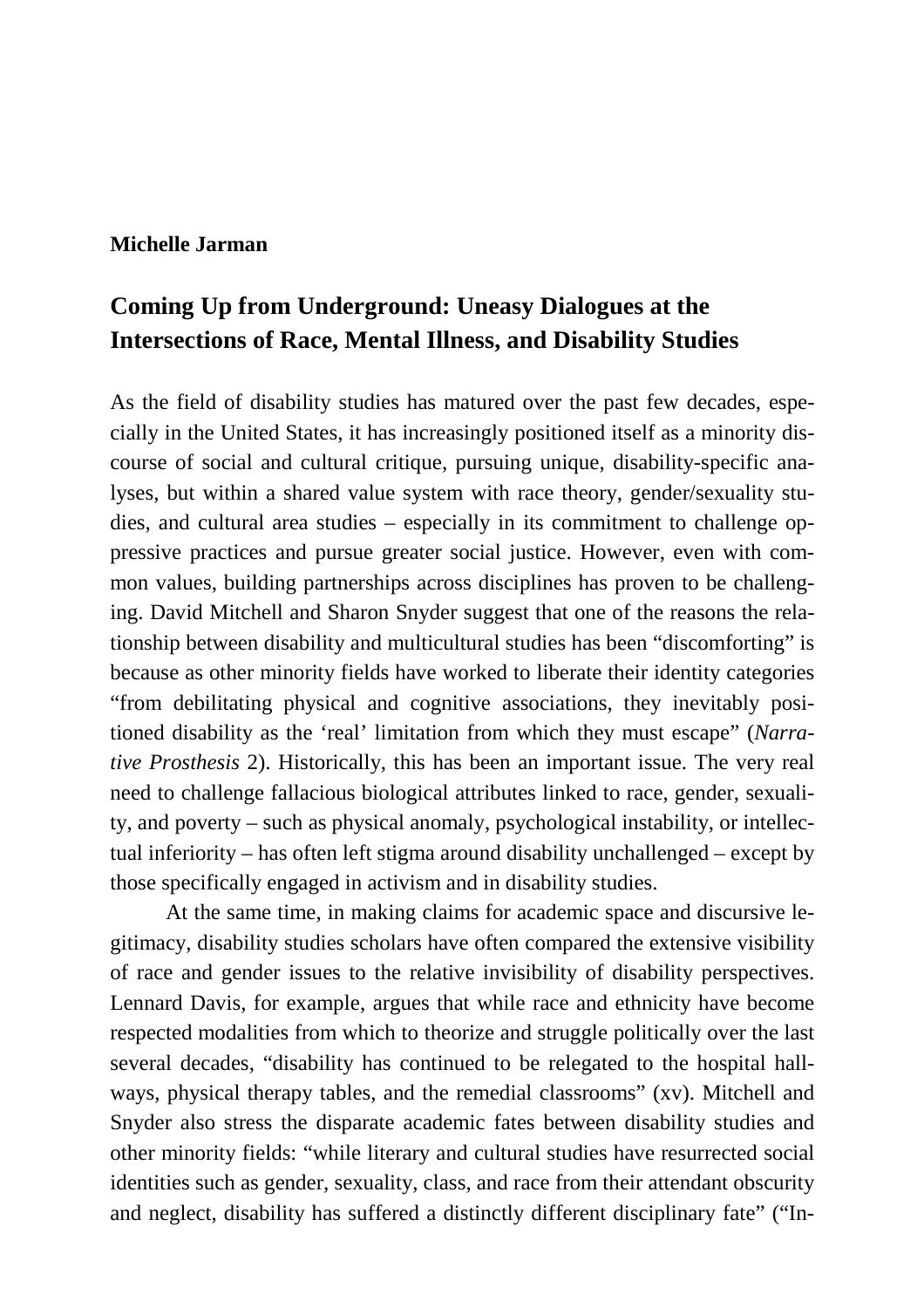#### **Michelle Jarman**

# **Coming Up from Underground: Uneasy Dialogues at the Intersections of Race, Mental Illness, and Disability Studies**

As the field of disability studies has matured over the past few decades, especially in the United States, it has increasingly positioned itself as a minority discourse of social and cultural critique, pursuing unique, disability-specific analyses, but within a shared value system with race theory, gender/sexuality studies, and cultural area studies – especially in its commitment to challenge oppressive practices and pursue greater social justice. However, even with common values, building partnerships across disciplines has proven to be challenging. David Mitchell and Sharon Snyder suggest that one of the reasons the relationship between disability and multicultural studies has been "discomforting" is because as other minority fields have worked to liberate their identity categories "from debilitating physical and cognitive associations, they inevitably positioned disability as the 'real' limitation from which they must escape" (*Narrative Prosthesis* 2). Historically, this has been an important issue. The very real need to challenge fallacious biological attributes linked to race, gender, sexuality, and poverty – such as physical anomaly, psychological instability, or intellectual inferiority – has often left stigma around disability unchallenged – except by those specifically engaged in activism and in disability studies.

At the same time, in making claims for academic space and discursive legitimacy, disability studies scholars have often compared the extensive visibility of race and gender issues to the relative invisibility of disability perspectives. Lennard Davis, for example, argues that while race and ethnicity have become respected modalities from which to theorize and struggle politically over the last several decades, "disability has continued to be relegated to the hospital hallways, physical therapy tables, and the remedial classrooms" (xv). Mitchell and Snyder also stress the disparate academic fates between disability studies and other minority fields: "while literary and cultural studies have resurrected social identities such as gender, sexuality, class, and race from their attendant obscurity and neglect, disability has suffered a distinctly different disciplinary fate" ("In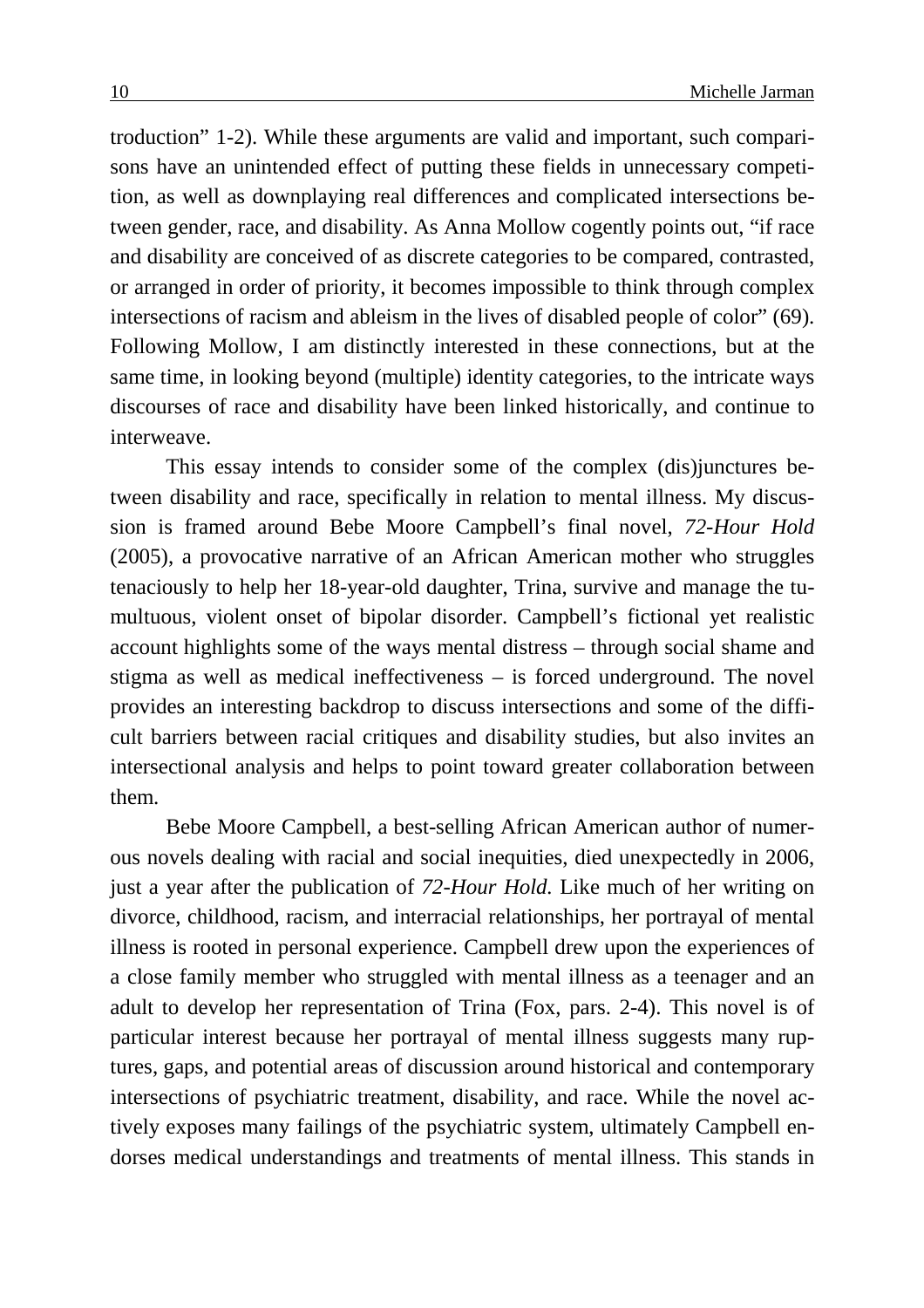troduction" 1-2). While these arguments are valid and important, such comparisons have an unintended effect of putting these fields in unnecessary competition, as well as downplaying real differences and complicated intersections between gender, race, and disability. As Anna Mollow cogently points out, "if race and disability are conceived of as discrete categories to be compared, contrasted, or arranged in order of priority, it becomes impossible to think through complex intersections of racism and ableism in the lives of disabled people of color" (69). Following Mollow, I am distinctly interested in these connections, but at the same time, in looking beyond (multiple) identity categories, to the intricate ways discourses of race and disability have been linked historically, and continue to interweave.

This essay intends to consider some of the complex (dis)junctures between disability and race, specifically in relation to mental illness. My discussion is framed around Bebe Moore Campbell's final novel, *72-Hour Hold* (2005), a provocative narrative of an African American mother who struggles tenaciously to help her 18-year-old daughter, Trina, survive and manage the tumultuous, violent onset of bipolar disorder. Campbell's fictional yet realistic account highlights some of the ways mental distress – through social shame and stigma as well as medical ineffectiveness – is forced underground. The novel provides an interesting backdrop to discuss intersections and some of the difficult barriers between racial critiques and disability studies, but also invites an intersectional analysis and helps to point toward greater collaboration between them.

Bebe Moore Campbell, a best-selling African American author of numerous novels dealing with racial and social inequities, died unexpectedly in 2006, just a year after the publication of *72-Hour Hold.* Like much of her writing on divorce, childhood, racism, and interracial relationships, her portrayal of mental illness is rooted in personal experience. Campbell drew upon the experiences of a close family member who struggled with mental illness as a teenager and an adult to develop her representation of Trina (Fox, pars. 2-4). This novel is of particular interest because her portrayal of mental illness suggests many ruptures, gaps, and potential areas of discussion around historical and contemporary intersections of psychiatric treatment, disability, and race. While the novel actively exposes many failings of the psychiatric system, ultimately Campbell endorses medical understandings and treatments of mental illness. This stands in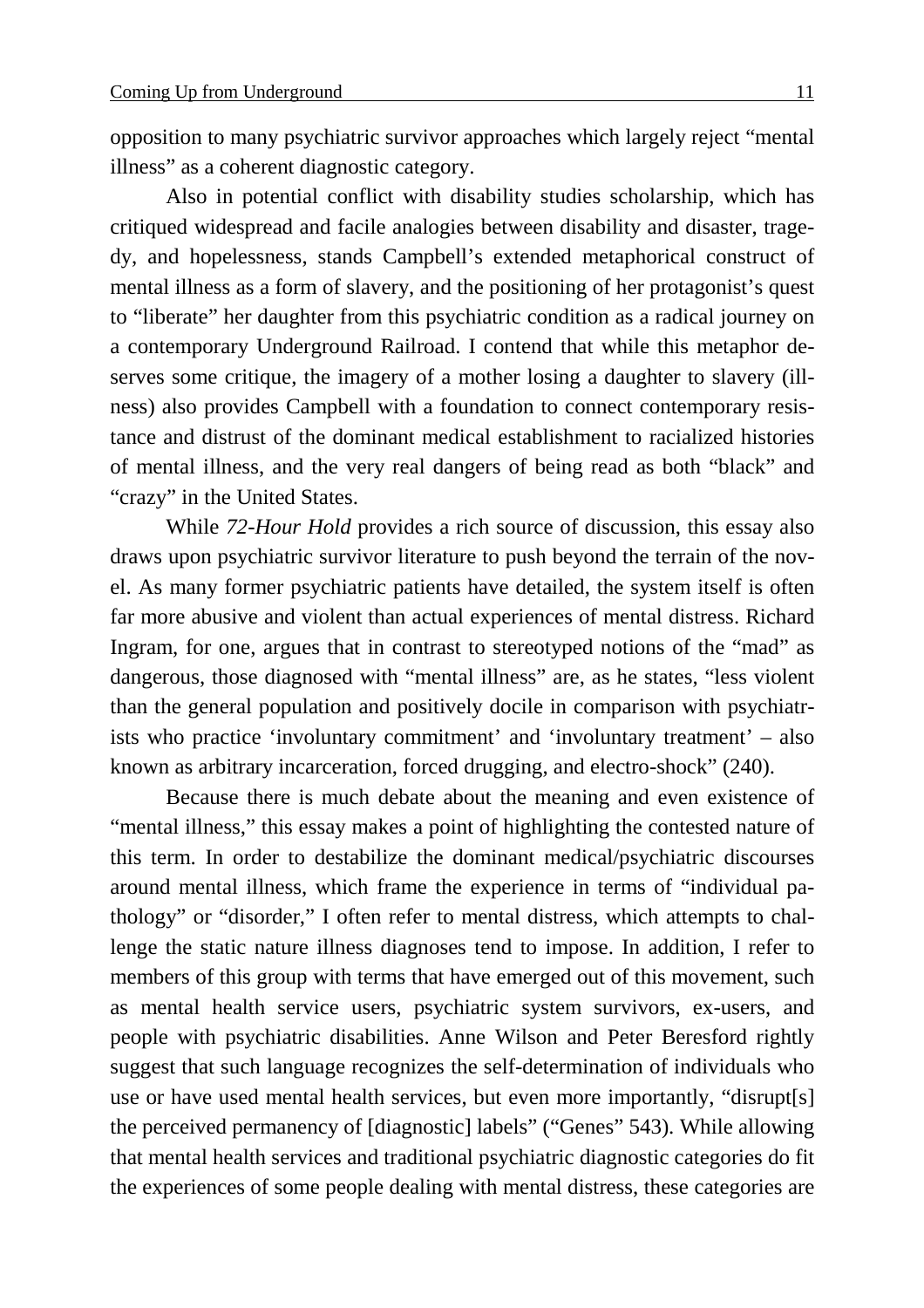opposition to many psychiatric survivor approaches which largely reject "mental illness" as a coherent diagnostic category.

Also in potential conflict with disability studies scholarship, which has critiqued widespread and facile analogies between disability and disaster, tragedy, and hopelessness, stands Campbell's extended metaphorical construct of mental illness as a form of slavery, and the positioning of her protagonist's quest to "liberate" her daughter from this psychiatric condition as a radical journey on a contemporary Underground Railroad. I contend that while this metaphor deserves some critique, the imagery of a mother losing a daughter to slavery (illness) also provides Campbell with a foundation to connect contemporary resistance and distrust of the dominant medical establishment to racialized histories of mental illness, and the very real dangers of being read as both "black" and "crazy" in the United States.

While *72-Hour Hold* provides a rich source of discussion, this essay also draws upon psychiatric survivor literature to push beyond the terrain of the novel. As many former psychiatric patients have detailed, the system itself is often far more abusive and violent than actual experiences of mental distress. Richard Ingram, for one, argues that in contrast to stereotyped notions of the "mad" as dangerous, those diagnosed with "mental illness" are, as he states, "less violent than the general population and positively docile in comparison with psychiatrists who practice 'involuntary commitment' and 'involuntary treatment' – also known as arbitrary incarceration, forced drugging, and electro-shock" (240).

Because there is much debate about the meaning and even existence of "mental illness," this essay makes a point of highlighting the contested nature of this term. In order to destabilize the dominant medical/psychiatric discourses around mental illness, which frame the experience in terms of "individual pathology" or "disorder," I often refer to mental distress, which attempts to challenge the static nature illness diagnoses tend to impose. In addition, I refer to members of this group with terms that have emerged out of this movement, such as mental health service users, psychiatric system survivors, ex-users, and people with psychiatric disabilities. Anne Wilson and Peter Beresford rightly suggest that such language recognizes the self-determination of individuals who use or have used mental health services, but even more importantly, "disrupt[s] the perceived permanency of [diagnostic] labels" ("Genes" 543). While allowing that mental health services and traditional psychiatric diagnostic categories do fit the experiences of some people dealing with mental distress, these categories are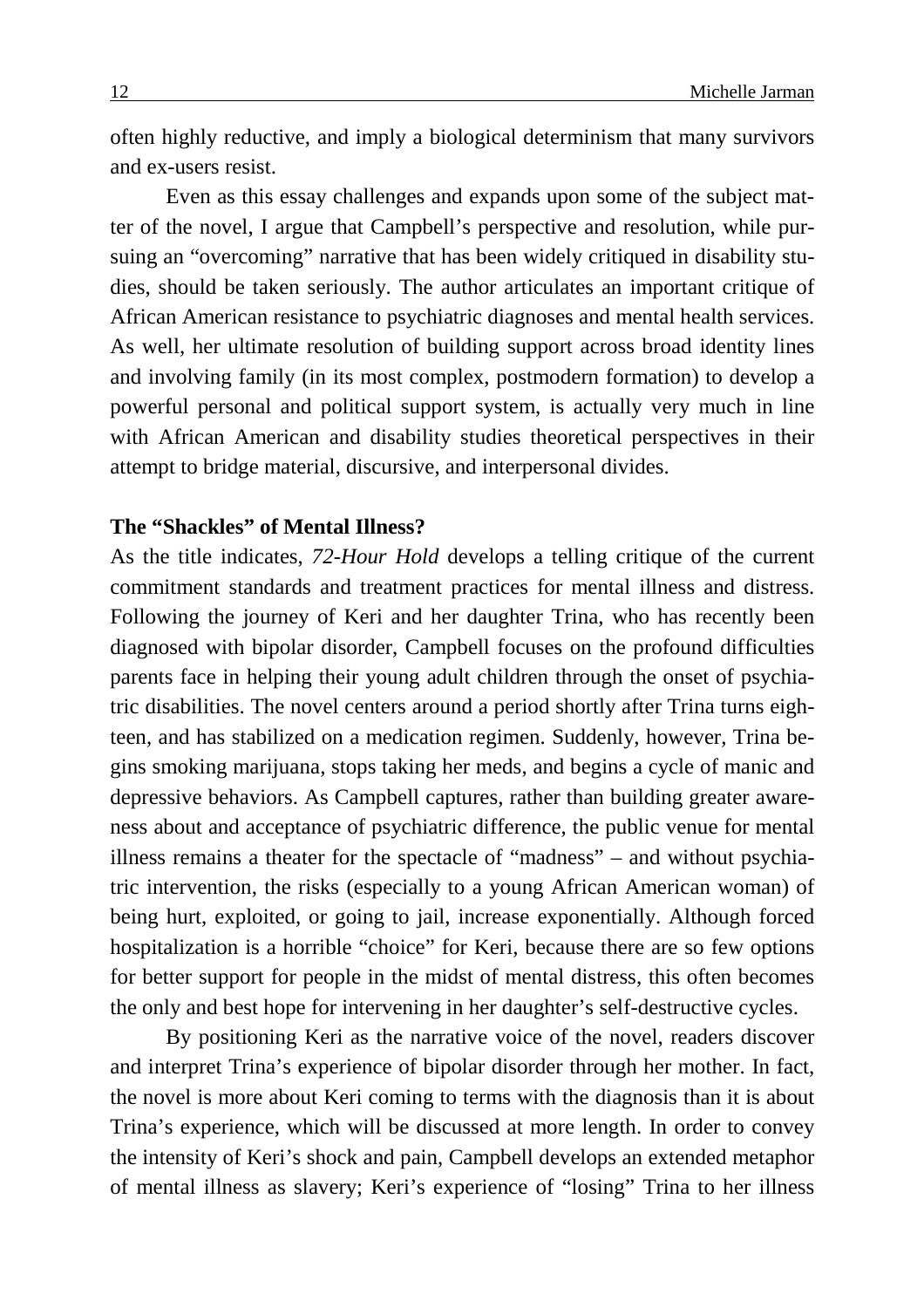often highly reductive, and imply a biological determinism that many survivors and ex-users resist.

Even as this essay challenges and expands upon some of the subject matter of the novel, I argue that Campbell's perspective and resolution, while pursuing an "overcoming" narrative that has been widely critiqued in disability studies, should be taken seriously. The author articulates an important critique of African American resistance to psychiatric diagnoses and mental health services. As well, her ultimate resolution of building support across broad identity lines and involving family (in its most complex, postmodern formation) to develop a powerful personal and political support system, is actually very much in line with African American and disability studies theoretical perspectives in their attempt to bridge material, discursive, and interpersonal divides.

### **The "Shackles" of Mental Illness?**

As the title indicates, *72-Hour Hold* develops a telling critique of the current commitment standards and treatment practices for mental illness and distress. Following the journey of Keri and her daughter Trina, who has recently been diagnosed with bipolar disorder, Campbell focuses on the profound difficulties parents face in helping their young adult children through the onset of psychiatric disabilities. The novel centers around a period shortly after Trina turns eighteen, and has stabilized on a medication regimen. Suddenly, however, Trina begins smoking marijuana, stops taking her meds, and begins a cycle of manic and depressive behaviors. As Campbell captures, rather than building greater awareness about and acceptance of psychiatric difference, the public venue for mental illness remains a theater for the spectacle of "madness" – and without psychiatric intervention, the risks (especially to a young African American woman) of being hurt, exploited, or going to jail, increase exponentially. Although forced hospitalization is a horrible "choice" for Keri, because there are so few options for better support for people in the midst of mental distress, this often becomes the only and best hope for intervening in her daughter's self-destructive cycles.

By positioning Keri as the narrative voice of the novel, readers discover and interpret Trina's experience of bipolar disorder through her mother. In fact, the novel is more about Keri coming to terms with the diagnosis than it is about Trina's experience, which will be discussed at more length. In order to convey the intensity of Keri's shock and pain, Campbell develops an extended metaphor of mental illness as slavery; Keri's experience of "losing" Trina to her illness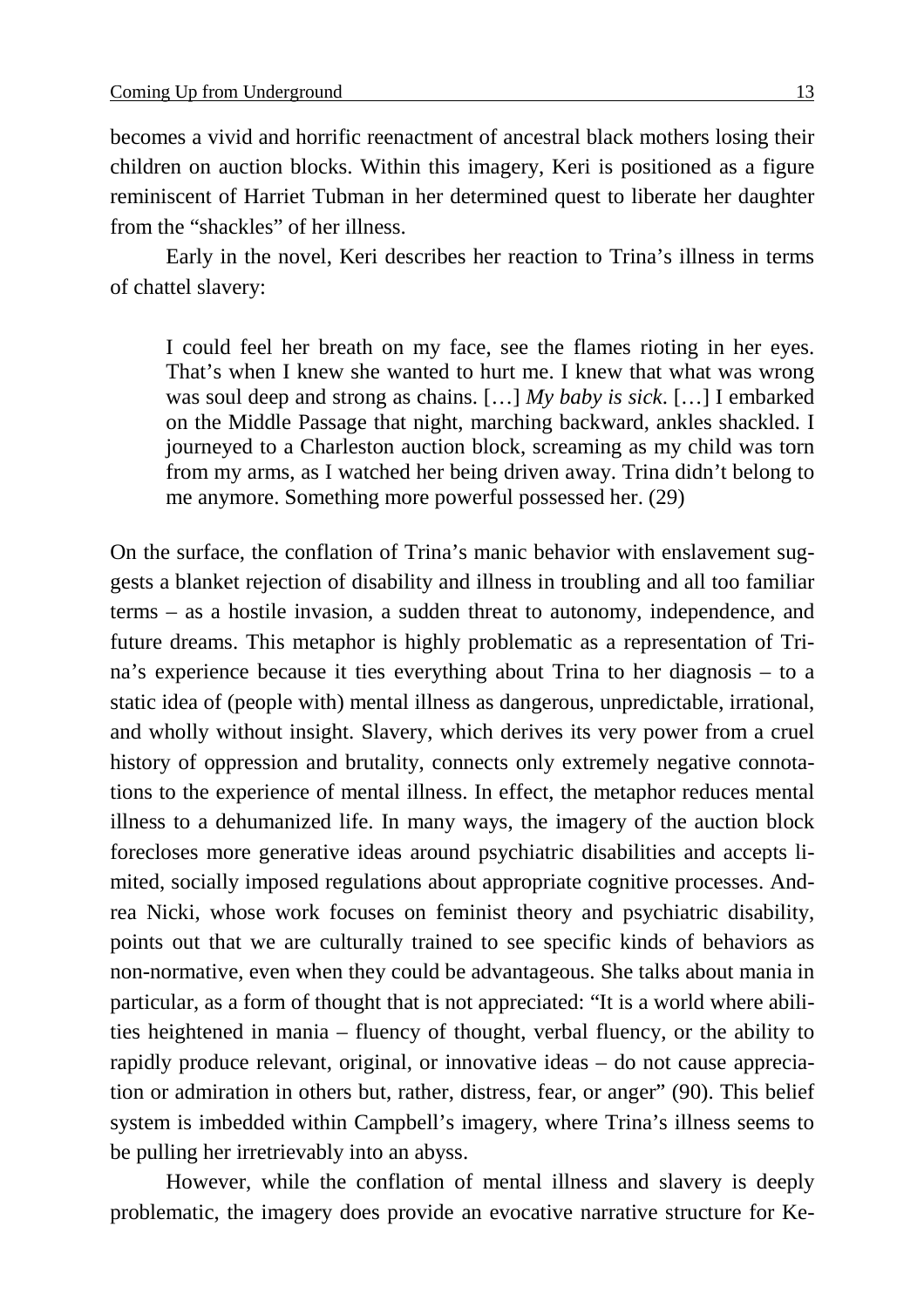becomes a vivid and horrific reenactment of ancestral black mothers losing their children on auction blocks. Within this imagery, Keri is positioned as a figure reminiscent of Harriet Tubman in her determined quest to liberate her daughter from the "shackles" of her illness.

Early in the novel, Keri describes her reaction to Trina's illness in terms of chattel slavery:

I could feel her breath on my face, see the flames rioting in her eyes. That's when I knew she wanted to hurt me. I knew that what was wrong was soul deep and strong as chains. […] *My baby is sick*. […] I embarked on the Middle Passage that night, marching backward, ankles shackled. I journeyed to a Charleston auction block, screaming as my child was torn from my arms, as I watched her being driven away. Trina didn't belong to me anymore. Something more powerful possessed her. (29)

On the surface, the conflation of Trina's manic behavior with enslavement suggests a blanket rejection of disability and illness in troubling and all too familiar terms – as a hostile invasion, a sudden threat to autonomy, independence, and future dreams. This metaphor is highly problematic as a representation of Trina's experience because it ties everything about Trina to her diagnosis – to a static idea of (people with) mental illness as dangerous, unpredictable, irrational, and wholly without insight. Slavery, which derives its very power from a cruel history of oppression and brutality, connects only extremely negative connotations to the experience of mental illness. In effect, the metaphor reduces mental illness to a dehumanized life. In many ways, the imagery of the auction block forecloses more generative ideas around psychiatric disabilities and accepts limited, socially imposed regulations about appropriate cognitive processes. Andrea Nicki, whose work focuses on feminist theory and psychiatric disability, points out that we are culturally trained to see specific kinds of behaviors as non-normative, even when they could be advantageous. She talks about mania in particular, as a form of thought that is not appreciated: "It is a world where abilities heightened in mania – fluency of thought, verbal fluency, or the ability to rapidly produce relevant, original, or innovative ideas – do not cause appreciation or admiration in others but, rather, distress, fear, or anger" (90). This belief system is imbedded within Campbell's imagery, where Trina's illness seems to be pulling her irretrievably into an abyss.

However, while the conflation of mental illness and slavery is deeply problematic, the imagery does provide an evocative narrative structure for Ke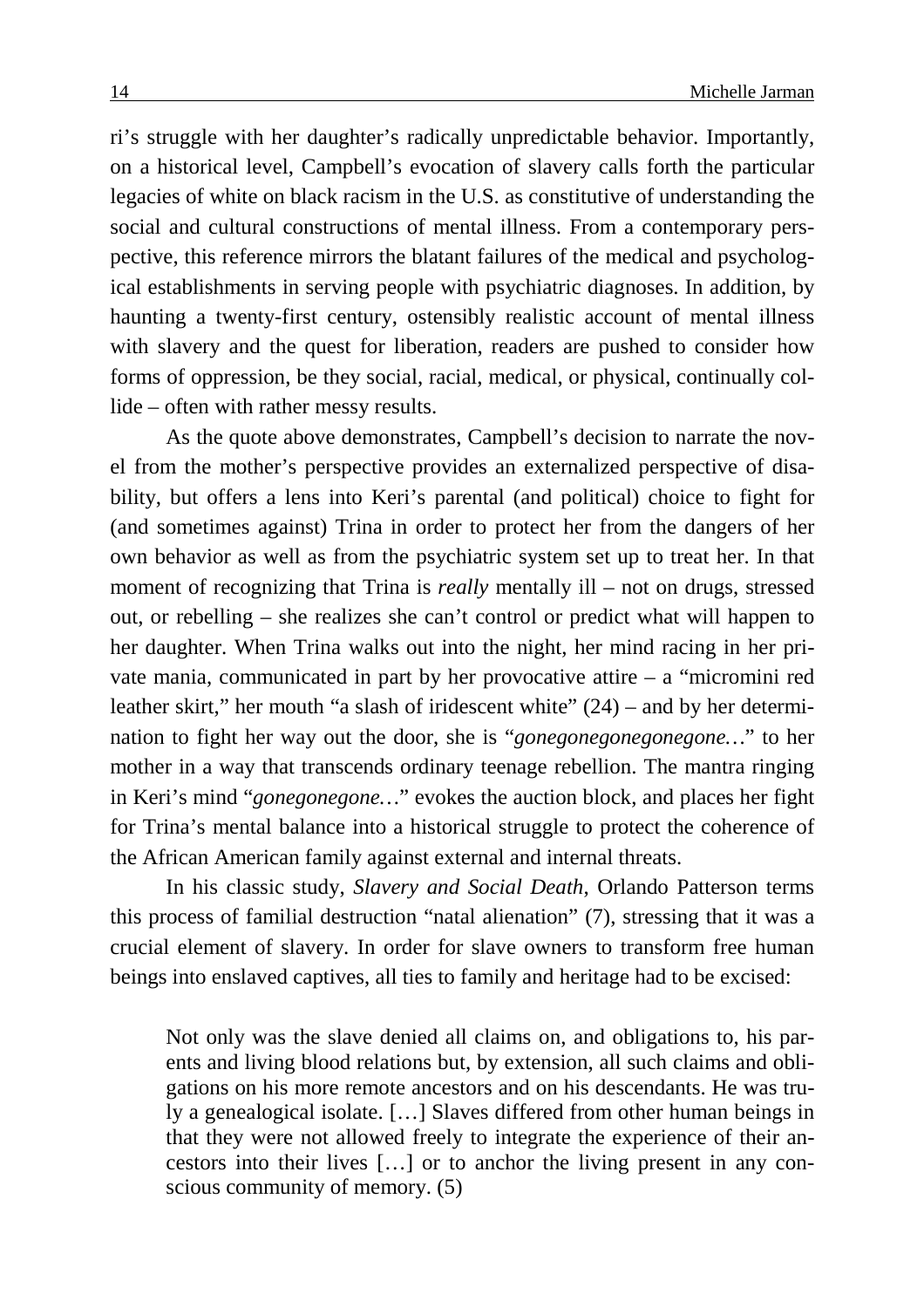ri's struggle with her daughter's radically unpredictable behavior. Importantly, on a historical level, Campbell's evocation of slavery calls forth the particular legacies of white on black racism in the U.S. as constitutive of understanding the social and cultural constructions of mental illness. From a contemporary perspective, this reference mirrors the blatant failures of the medical and psychological establishments in serving people with psychiatric diagnoses. In addition, by haunting a twenty-first century, ostensibly realistic account of mental illness with slavery and the quest for liberation, readers are pushed to consider how forms of oppression, be they social, racial, medical, or physical, continually collide – often with rather messy results.

As the quote above demonstrates, Campbell's decision to narrate the novel from the mother's perspective provides an externalized perspective of disability, but offers a lens into Keri's parental (and political) choice to fight for (and sometimes against) Trina in order to protect her from the dangers of her own behavior as well as from the psychiatric system set up to treat her. In that moment of recognizing that Trina is *really* mentally ill – not on drugs, stressed out, or rebelling – she realizes she can't control or predict what will happen to her daughter. When Trina walks out into the night, her mind racing in her private mania, communicated in part by her provocative attire – a "micromini red leather skirt," her mouth "a slash of iridescent white" (24) – and by her determination to fight her way out the door, she is "*gonegonegonegonegone…*" to her mother in a way that transcends ordinary teenage rebellion. The mantra ringing in Keri's mind "*gonegonegone…*" evokes the auction block, and places her fight for Trina's mental balance into a historical struggle to protect the coherence of the African American family against external and internal threats.

In his classic study, *Slavery and Social Death*, Orlando Patterson terms this process of familial destruction "natal alienation" (7), stressing that it was a crucial element of slavery. In order for slave owners to transform free human beings into enslaved captives, all ties to family and heritage had to be excised:

Not only was the slave denied all claims on, and obligations to, his parents and living blood relations but, by extension, all such claims and obligations on his more remote ancestors and on his descendants. He was truly a genealogical isolate. […] Slaves differed from other human beings in that they were not allowed freely to integrate the experience of their ancestors into their lives […] or to anchor the living present in any conscious community of memory. (5)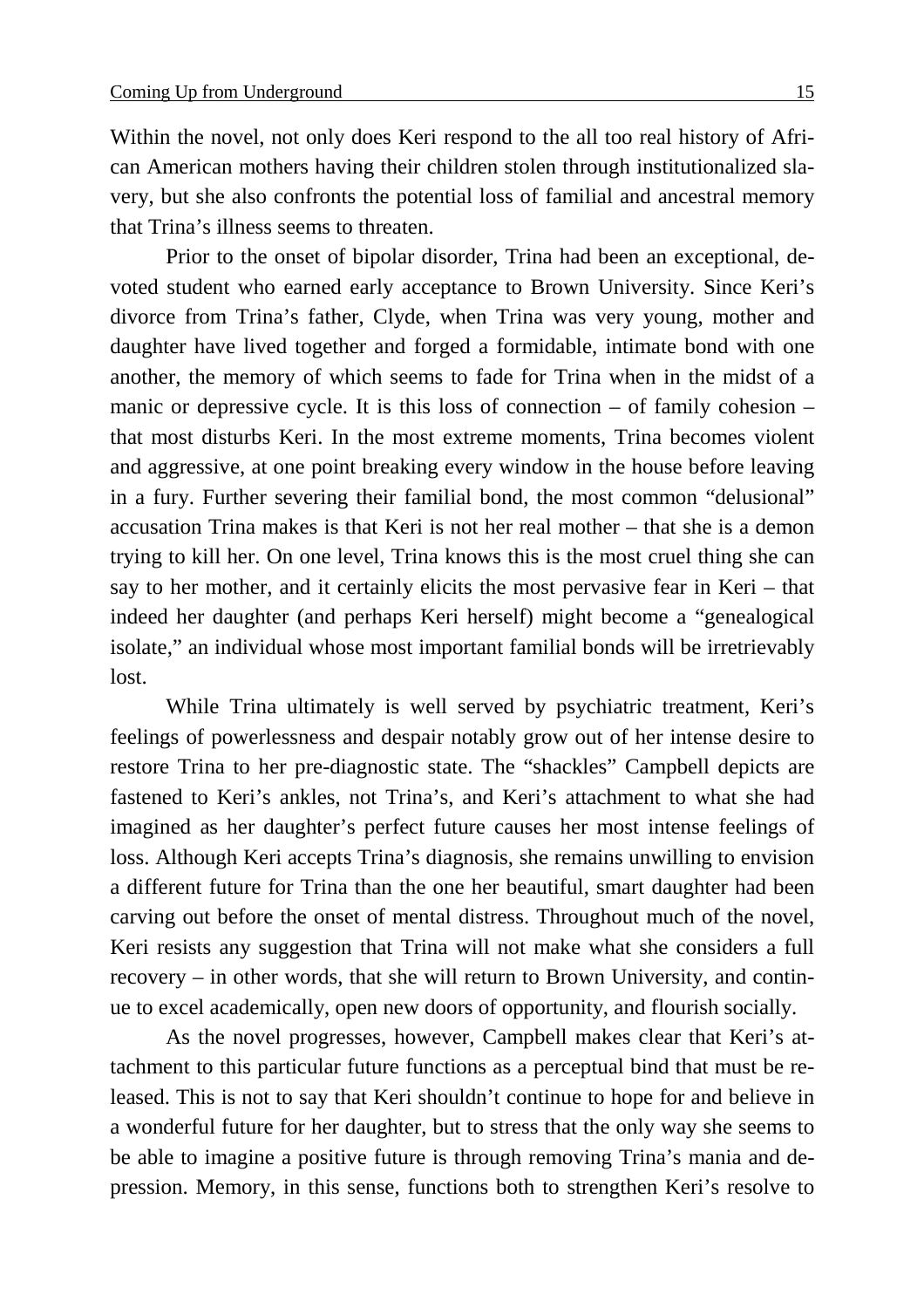Within the novel, not only does Keri respond to the all too real history of African American mothers having their children stolen through institutionalized slavery, but she also confronts the potential loss of familial and ancestral memory that Trina's illness seems to threaten.

Prior to the onset of bipolar disorder, Trina had been an exceptional, devoted student who earned early acceptance to Brown University. Since Keri's divorce from Trina's father, Clyde, when Trina was very young, mother and daughter have lived together and forged a formidable, intimate bond with one another, the memory of which seems to fade for Trina when in the midst of a manic or depressive cycle. It is this loss of connection – of family cohesion – that most disturbs Keri. In the most extreme moments, Trina becomes violent and aggressive, at one point breaking every window in the house before leaving in a fury. Further severing their familial bond, the most common "delusional" accusation Trina makes is that Keri is not her real mother – that she is a demon trying to kill her. On one level, Trina knows this is the most cruel thing she can say to her mother, and it certainly elicits the most pervasive fear in Keri – that indeed her daughter (and perhaps Keri herself) might become a "genealogical isolate," an individual whose most important familial bonds will be irretrievably lost.

While Trina ultimately is well served by psychiatric treatment, Keri's feelings of powerlessness and despair notably grow out of her intense desire to restore Trina to her pre-diagnostic state. The "shackles" Campbell depicts are fastened to Keri's ankles, not Trina's, and Keri's attachment to what she had imagined as her daughter's perfect future causes her most intense feelings of loss. Although Keri accepts Trina's diagnosis, she remains unwilling to envision a different future for Trina than the one her beautiful, smart daughter had been carving out before the onset of mental distress. Throughout much of the novel, Keri resists any suggestion that Trina will not make what she considers a full recovery – in other words, that she will return to Brown University, and continue to excel academically, open new doors of opportunity, and flourish socially.

As the novel progresses, however, Campbell makes clear that Keri's attachment to this particular future functions as a perceptual bind that must be released. This is not to say that Keri shouldn't continue to hope for and believe in a wonderful future for her daughter, but to stress that the only way she seems to be able to imagine a positive future is through removing Trina's mania and depression. Memory, in this sense, functions both to strengthen Keri's resolve to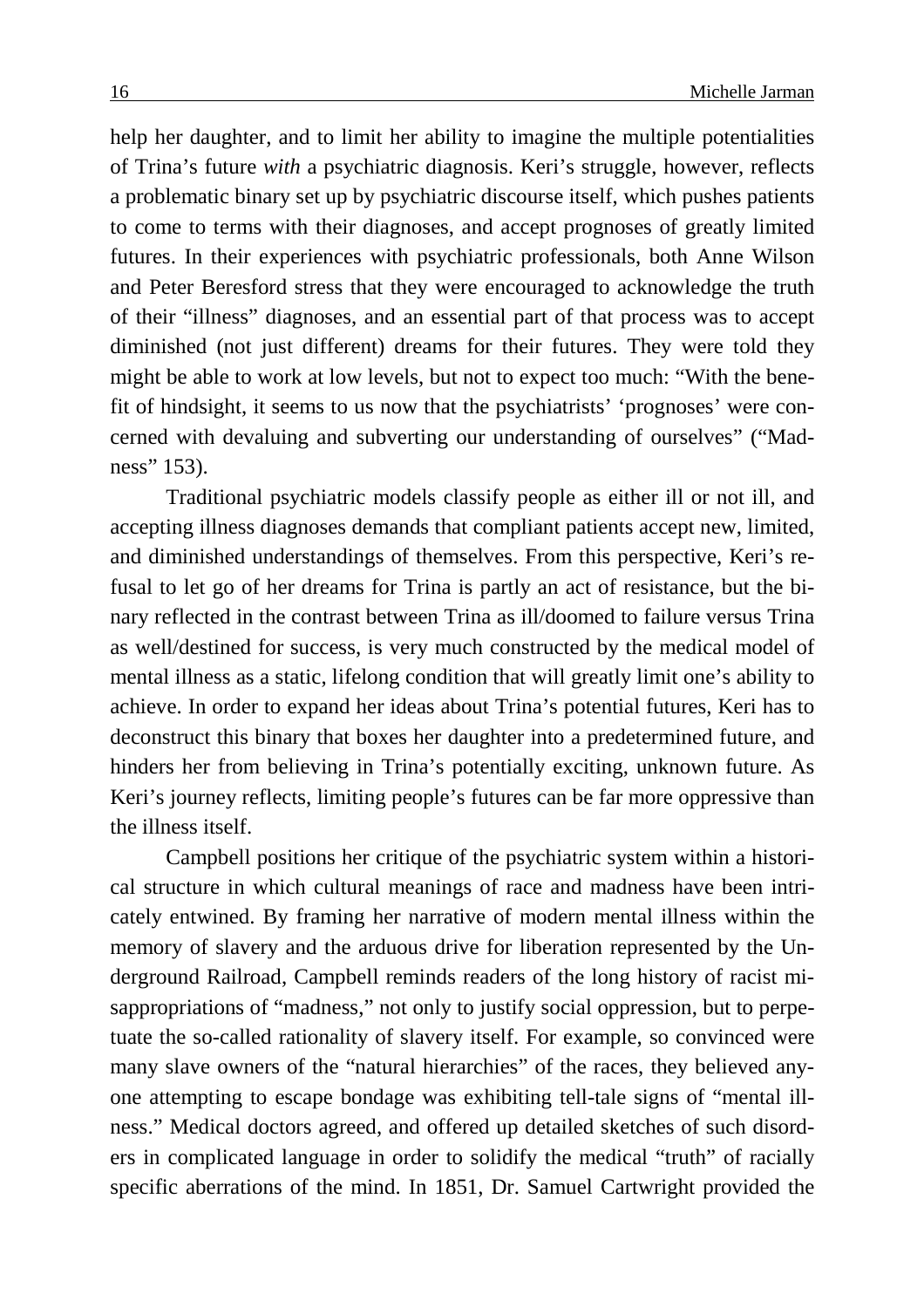help her daughter, and to limit her ability to imagine the multiple potentialities of Trina's future *with* a psychiatric diagnosis. Keri's struggle, however, reflects a problematic binary set up by psychiatric discourse itself, which pushes patients to come to terms with their diagnoses, and accept prognoses of greatly limited futures. In their experiences with psychiatric professionals, both Anne Wilson and Peter Beresford stress that they were encouraged to acknowledge the truth of their "illness" diagnoses, and an essential part of that process was to accept diminished (not just different) dreams for their futures. They were told they might be able to work at low levels, but not to expect too much: "With the benefit of hindsight, it seems to us now that the psychiatrists' 'prognoses' were concerned with devaluing and subverting our understanding of ourselves" ("Madness" 153).

Traditional psychiatric models classify people as either ill or not ill, and accepting illness diagnoses demands that compliant patients accept new, limited, and diminished understandings of themselves. From this perspective, Keri's refusal to let go of her dreams for Trina is partly an act of resistance, but the binary reflected in the contrast between Trina as ill/doomed to failure versus Trina as well/destined for success, is very much constructed by the medical model of mental illness as a static, lifelong condition that will greatly limit one's ability to achieve. In order to expand her ideas about Trina's potential futures, Keri has to deconstruct this binary that boxes her daughter into a predetermined future, and hinders her from believing in Trina's potentially exciting, unknown future. As Keri's journey reflects, limiting people's futures can be far more oppressive than the illness itself.

Campbell positions her critique of the psychiatric system within a historical structure in which cultural meanings of race and madness have been intricately entwined. By framing her narrative of modern mental illness within the memory of slavery and the arduous drive for liberation represented by the Underground Railroad, Campbell reminds readers of the long history of racist misappropriations of "madness," not only to justify social oppression, but to perpetuate the so-called rationality of slavery itself. For example, so convinced were many slave owners of the "natural hierarchies" of the races, they believed anyone attempting to escape bondage was exhibiting tell-tale signs of "mental illness." Medical doctors agreed, and offered up detailed sketches of such disorders in complicated language in order to solidify the medical "truth" of racially specific aberrations of the mind. In 1851, Dr. Samuel Cartwright provided the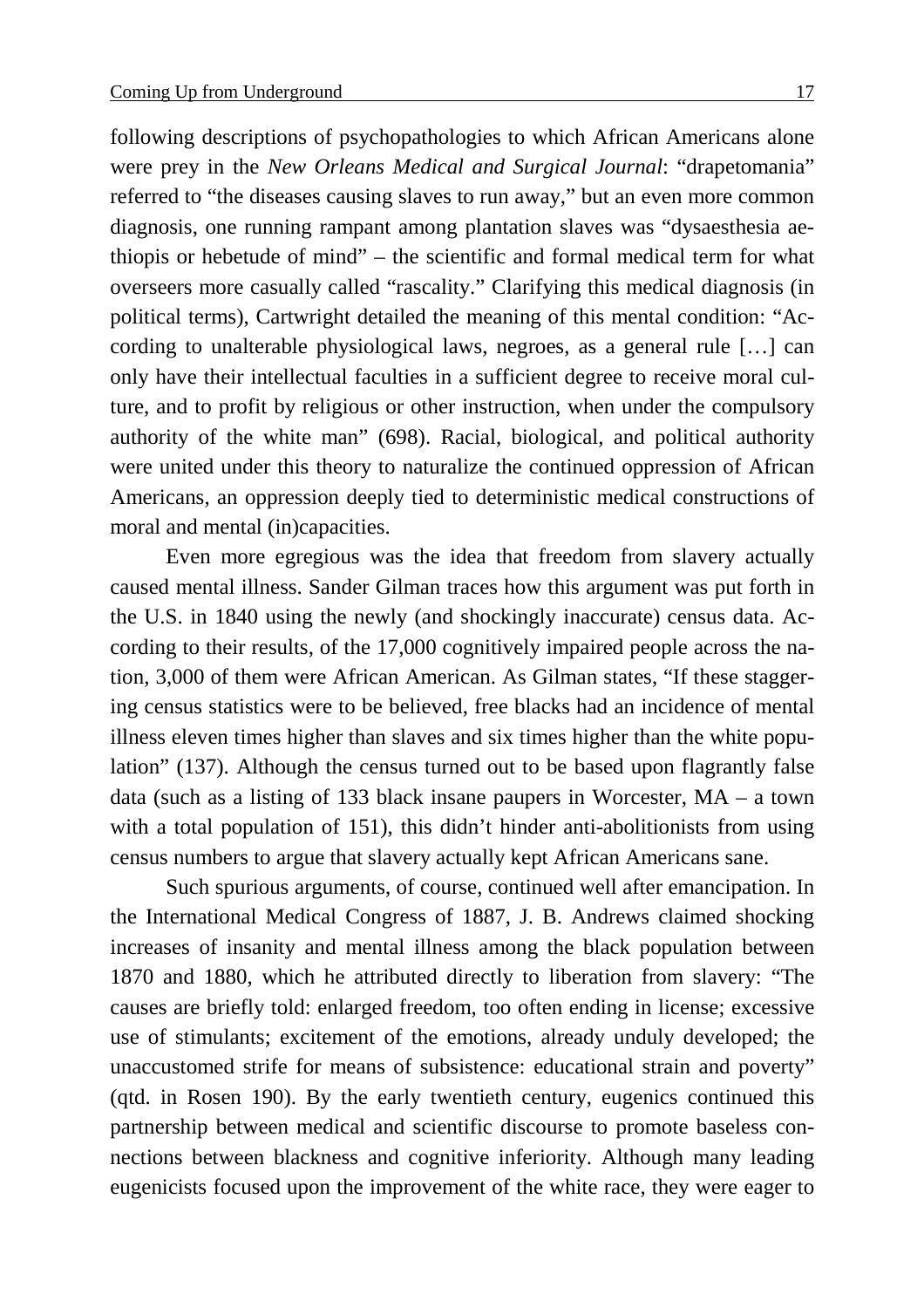following descriptions of psychopathologies to which African Americans alone were prey in the *New Orleans Medical and Surgical Journal*: "drapetomania" referred to "the diseases causing slaves to run away," but an even more common diagnosis, one running rampant among plantation slaves was "dysaesthesia aethiopis or hebetude of mind" – the scientific and formal medical term for what overseers more casually called "rascality." Clarifying this medical diagnosis (in political terms), Cartwright detailed the meaning of this mental condition: "According to unalterable physiological laws, negroes, as a general rule […] can only have their intellectual faculties in a sufficient degree to receive moral culture, and to profit by religious or other instruction, when under the compulsory authority of the white man" (698). Racial, biological, and political authority were united under this theory to naturalize the continued oppression of African Americans, an oppression deeply tied to deterministic medical constructions of moral and mental (in)capacities.

Even more egregious was the idea that freedom from slavery actually caused mental illness. Sander Gilman traces how this argument was put forth in the U.S. in 1840 using the newly (and shockingly inaccurate) census data. According to their results, of the 17,000 cognitively impaired people across the nation, 3,000 of them were African American. As Gilman states, "If these staggering census statistics were to be believed, free blacks had an incidence of mental illness eleven times higher than slaves and six times higher than the white population" (137). Although the census turned out to be based upon flagrantly false data (such as a listing of 133 black insane paupers in Worcester, MA – a town with a total population of 151), this didn't hinder anti-abolitionists from using census numbers to argue that slavery actually kept African Americans sane.

Such spurious arguments, of course, continued well after emancipation. In the International Medical Congress of 1887, J. B. Andrews claimed shocking increases of insanity and mental illness among the black population between 1870 and 1880, which he attributed directly to liberation from slavery: "The causes are briefly told: enlarged freedom, too often ending in license; excessive use of stimulants; excitement of the emotions, already unduly developed; the unaccustomed strife for means of subsistence: educational strain and poverty" (qtd. in Rosen 190). By the early twentieth century, eugenics continued this partnership between medical and scientific discourse to promote baseless connections between blackness and cognitive inferiority. Although many leading eugenicists focused upon the improvement of the white race, they were eager to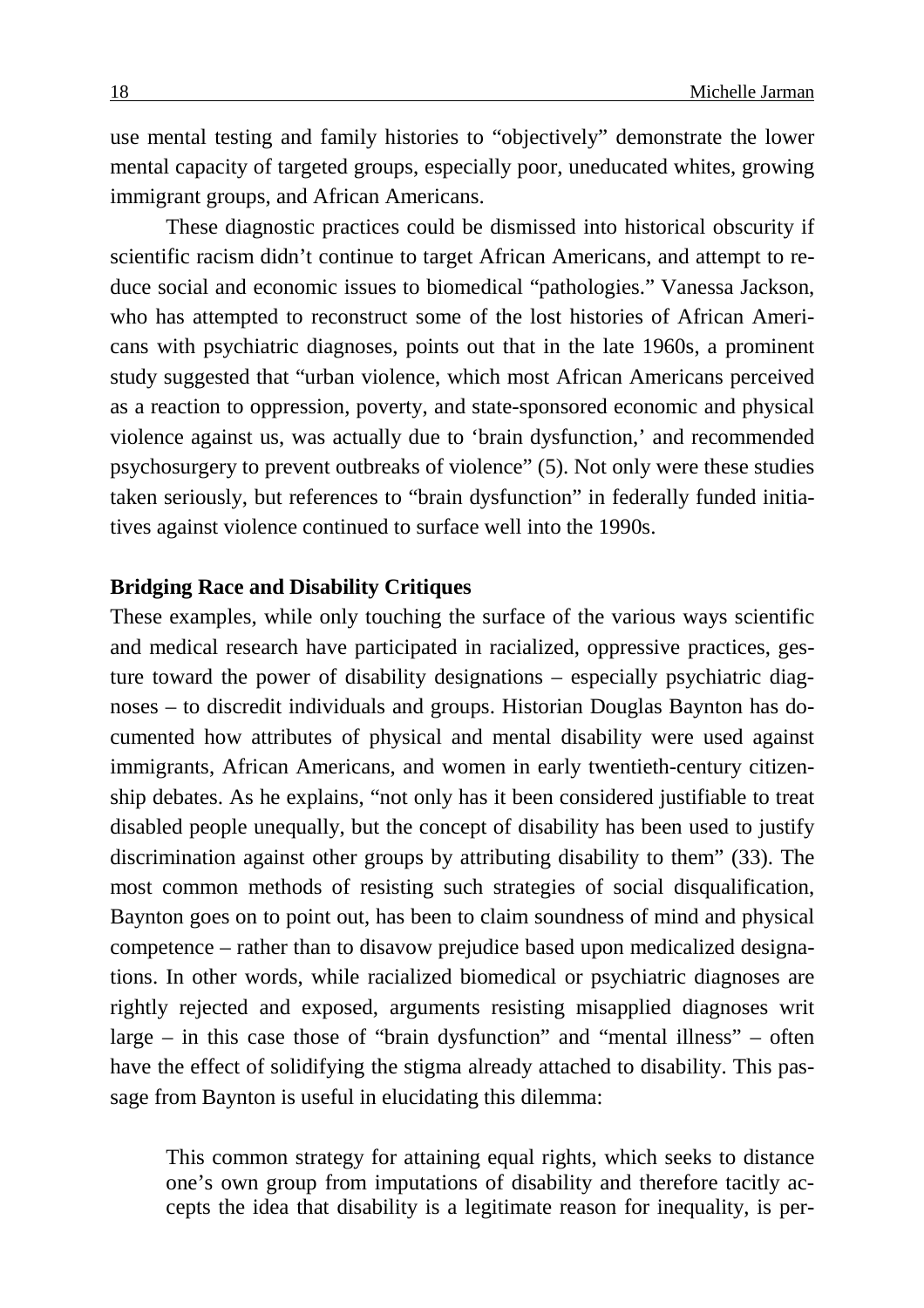use mental testing and family histories to "objectively" demonstrate the lower mental capacity of targeted groups, especially poor, uneducated whites, growing immigrant groups, and African Americans.

These diagnostic practices could be dismissed into historical obscurity if scientific racism didn't continue to target African Americans, and attempt to reduce social and economic issues to biomedical "pathologies." Vanessa Jackson, who has attempted to reconstruct some of the lost histories of African Americans with psychiatric diagnoses, points out that in the late 1960s, a prominent study suggested that "urban violence, which most African Americans perceived as a reaction to oppression, poverty, and state-sponsored economic and physical violence against us, was actually due to 'brain dysfunction,' and recommended psychosurgery to prevent outbreaks of violence" (5). Not only were these studies taken seriously, but references to "brain dysfunction" in federally funded initiatives against violence continued to surface well into the 1990s.

### **Bridging Race and Disability Critiques**

These examples, while only touching the surface of the various ways scientific and medical research have participated in racialized, oppressive practices, gesture toward the power of disability designations – especially psychiatric diagnoses – to discredit individuals and groups. Historian Douglas Baynton has documented how attributes of physical and mental disability were used against immigrants, African Americans, and women in early twentieth-century citizenship debates. As he explains, "not only has it been considered justifiable to treat disabled people unequally, but the concept of disability has been used to justify discrimination against other groups by attributing disability to them" (33). The most common methods of resisting such strategies of social disqualification, Baynton goes on to point out, has been to claim soundness of mind and physical competence – rather than to disavow prejudice based upon medicalized designations. In other words, while racialized biomedical or psychiatric diagnoses are rightly rejected and exposed, arguments resisting misapplied diagnoses writ large – in this case those of "brain dysfunction" and "mental illness" – often have the effect of solidifying the stigma already attached to disability. This passage from Baynton is useful in elucidating this dilemma:

This common strategy for attaining equal rights, which seeks to distance one's own group from imputations of disability and therefore tacitly accepts the idea that disability is a legitimate reason for inequality, is per-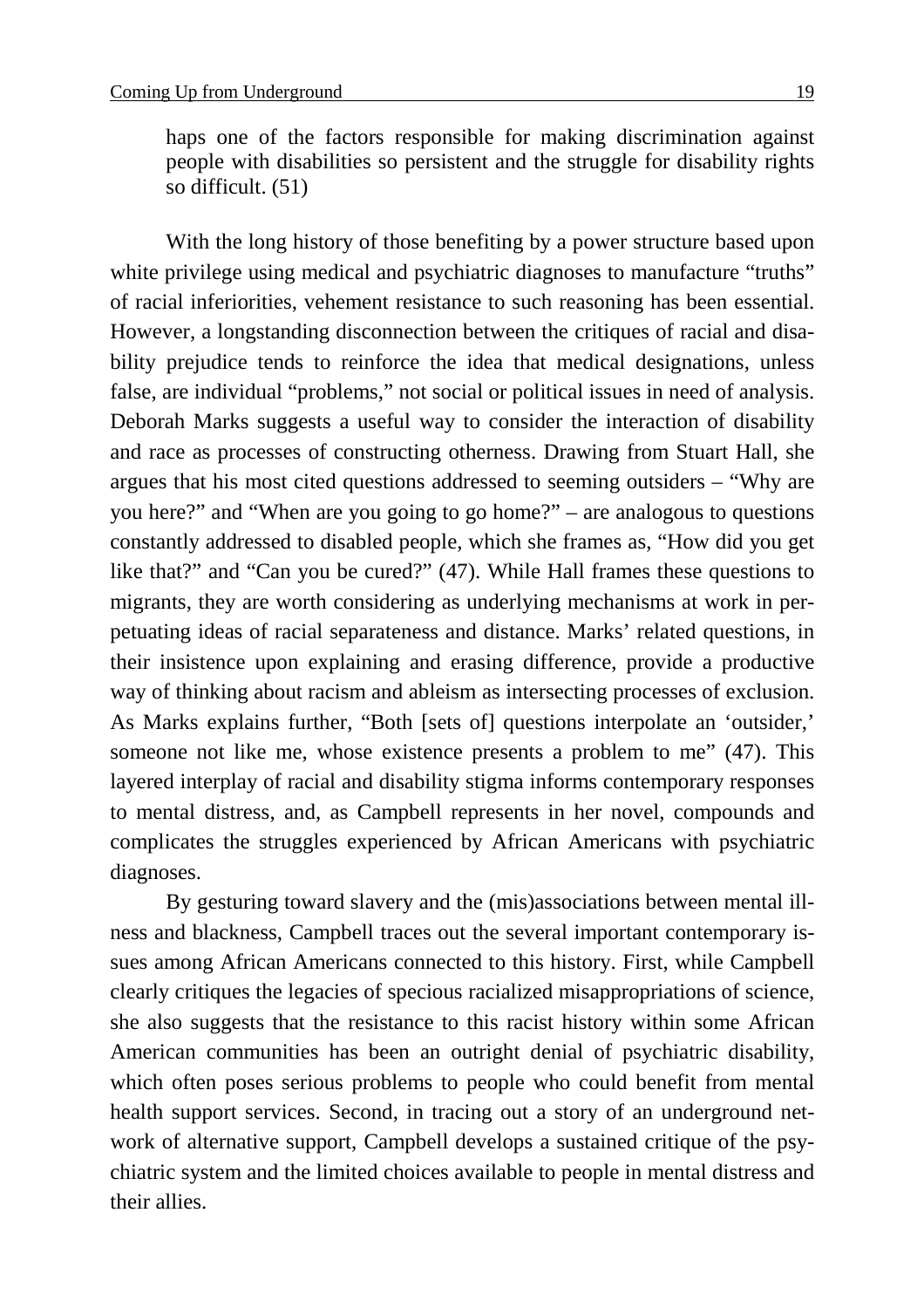With the long history of those benefiting by a power structure based upon white privilege using medical and psychiatric diagnoses to manufacture "truths" of racial inferiorities, vehement resistance to such reasoning has been essential. However, a longstanding disconnection between the critiques of racial and disability prejudice tends to reinforce the idea that medical designations, unless false, are individual "problems," not social or political issues in need of analysis. Deborah Marks suggests a useful way to consider the interaction of disability and race as processes of constructing otherness. Drawing from Stuart Hall, she argues that his most cited questions addressed to seeming outsiders – "Why are you here?" and "When are you going to go home?" – are analogous to questions constantly addressed to disabled people, which she frames as, "How did you get like that?" and "Can you be cured?" (47). While Hall frames these questions to migrants, they are worth considering as underlying mechanisms at work in perpetuating ideas of racial separateness and distance. Marks' related questions, in their insistence upon explaining and erasing difference, provide a productive way of thinking about racism and ableism as intersecting processes of exclusion. As Marks explains further, "Both [sets of] questions interpolate an 'outsider,' someone not like me, whose existence presents a problem to me" (47). This layered interplay of racial and disability stigma informs contemporary responses to mental distress, and, as Campbell represents in her novel, compounds and complicates the struggles experienced by African Americans with psychiatric diagnoses.

By gesturing toward slavery and the (mis)associations between mental illness and blackness, Campbell traces out the several important contemporary issues among African Americans connected to this history. First, while Campbell clearly critiques the legacies of specious racialized misappropriations of science, she also suggests that the resistance to this racist history within some African American communities has been an outright denial of psychiatric disability, which often poses serious problems to people who could benefit from mental health support services. Second, in tracing out a story of an underground network of alternative support, Campbell develops a sustained critique of the psychiatric system and the limited choices available to people in mental distress and their allies.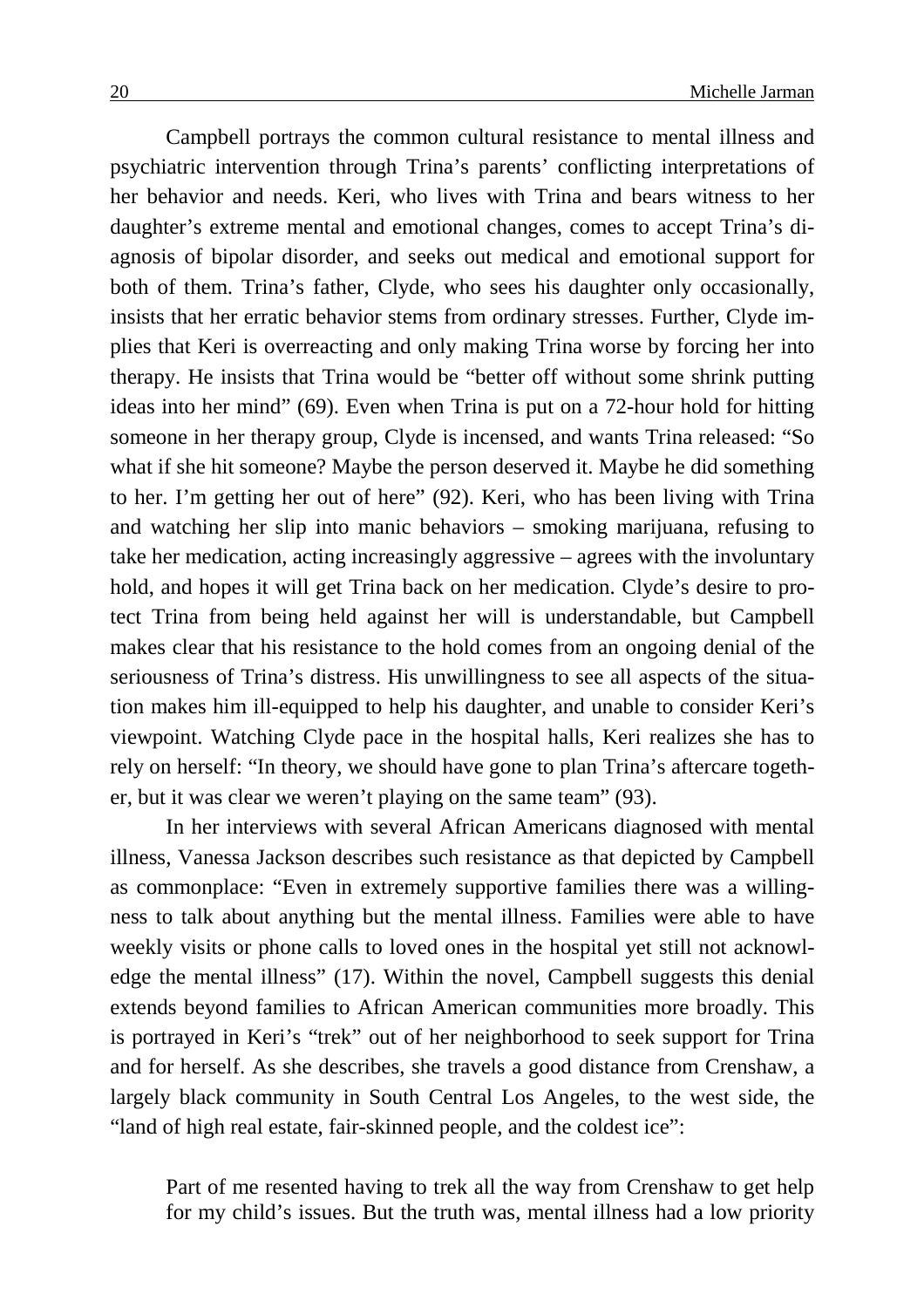Campbell portrays the common cultural resistance to mental illness and psychiatric intervention through Trina's parents' conflicting interpretations of her behavior and needs. Keri, who lives with Trina and bears witness to her daughter's extreme mental and emotional changes, comes to accept Trina's diagnosis of bipolar disorder, and seeks out medical and emotional support for both of them. Trina's father, Clyde, who sees his daughter only occasionally, insists that her erratic behavior stems from ordinary stresses. Further, Clyde implies that Keri is overreacting and only making Trina worse by forcing her into therapy. He insists that Trina would be "better off without some shrink putting ideas into her mind" (69). Even when Trina is put on a 72-hour hold for hitting someone in her therapy group, Clyde is incensed, and wants Trina released: "So what if she hit someone? Maybe the person deserved it. Maybe he did something to her. I'm getting her out of here" (92). Keri, who has been living with Trina and watching her slip into manic behaviors – smoking marijuana, refusing to take her medication, acting increasingly aggressive – agrees with the involuntary hold, and hopes it will get Trina back on her medication. Clyde's desire to protect Trina from being held against her will is understandable, but Campbell makes clear that his resistance to the hold comes from an ongoing denial of the seriousness of Trina's distress. His unwillingness to see all aspects of the situation makes him ill-equipped to help his daughter, and unable to consider Keri's viewpoint. Watching Clyde pace in the hospital halls, Keri realizes she has to rely on herself: "In theory, we should have gone to plan Trina's aftercare together, but it was clear we weren't playing on the same team" (93).

In her interviews with several African Americans diagnosed with mental illness, Vanessa Jackson describes such resistance as that depicted by Campbell as commonplace: "Even in extremely supportive families there was a willingness to talk about anything but the mental illness. Families were able to have weekly visits or phone calls to loved ones in the hospital yet still not acknowledge the mental illness" (17). Within the novel, Campbell suggests this denial extends beyond families to African American communities more broadly. This is portrayed in Keri's "trek" out of her neighborhood to seek support for Trina and for herself. As she describes, she travels a good distance from Crenshaw, a largely black community in South Central Los Angeles, to the west side, the "land of high real estate, fair-skinned people, and the coldest ice":

Part of me resented having to trek all the way from Crenshaw to get help for my child's issues. But the truth was, mental illness had a low priority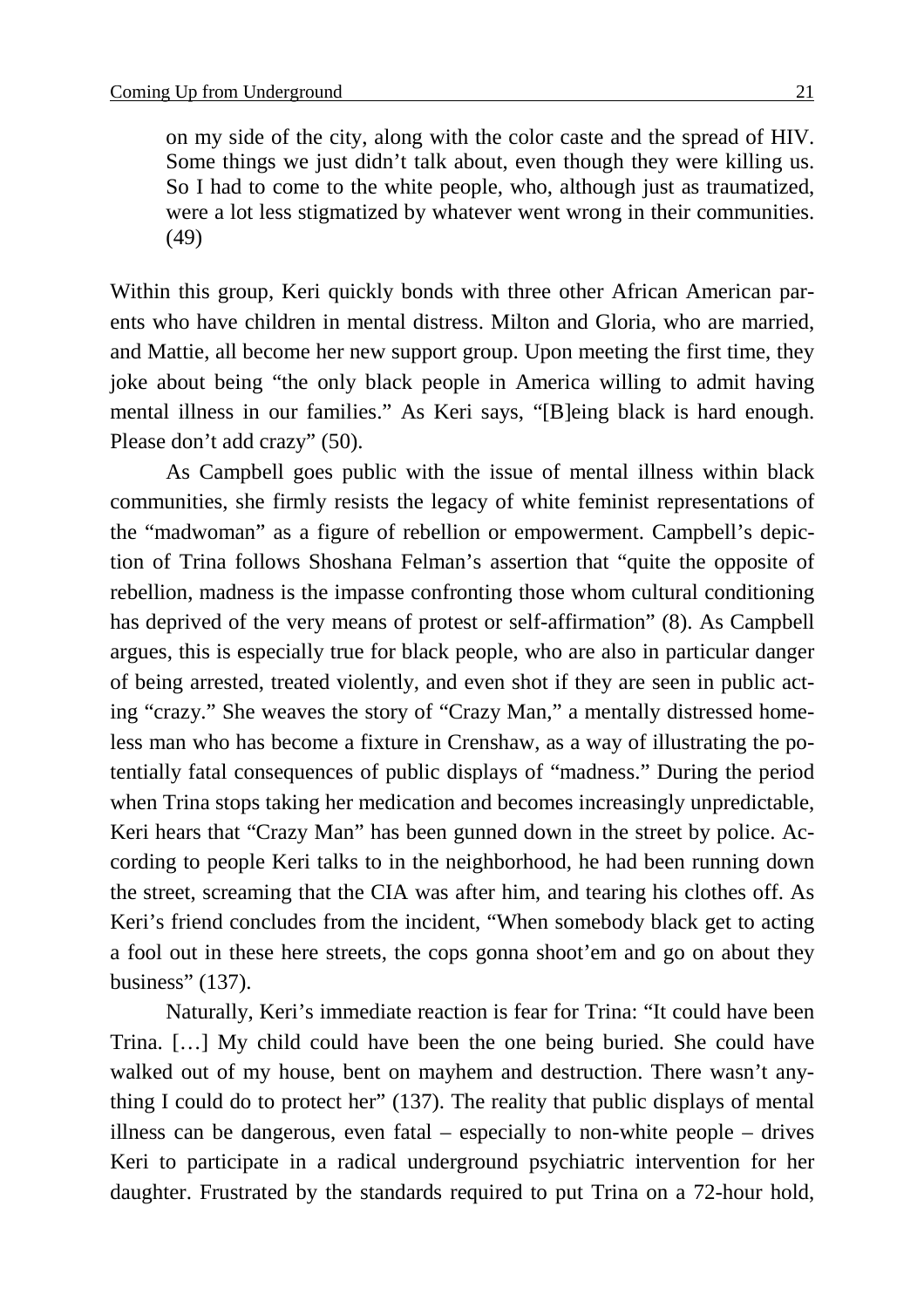on my side of the city, along with the color caste and the spread of HIV. Some things we just didn't talk about, even though they were killing us. So I had to come to the white people, who, although just as traumatized, were a lot less stigmatized by whatever went wrong in their communities. (49)

Within this group, Keri quickly bonds with three other African American parents who have children in mental distress. Milton and Gloria, who are married, and Mattie, all become her new support group. Upon meeting the first time, they joke about being "the only black people in America willing to admit having mental illness in our families." As Keri says, "[B]eing black is hard enough. Please don't add crazy" (50).

As Campbell goes public with the issue of mental illness within black communities, she firmly resists the legacy of white feminist representations of the "madwoman" as a figure of rebellion or empowerment. Campbell's depiction of Trina follows Shoshana Felman's assertion that "quite the opposite of rebellion, madness is the impasse confronting those whom cultural conditioning has deprived of the very means of protest or self-affirmation" (8). As Campbell argues, this is especially true for black people, who are also in particular danger of being arrested, treated violently, and even shot if they are seen in public acting "crazy." She weaves the story of "Crazy Man," a mentally distressed homeless man who has become a fixture in Crenshaw, as a way of illustrating the potentially fatal consequences of public displays of "madness." During the period when Trina stops taking her medication and becomes increasingly unpredictable, Keri hears that "Crazy Man" has been gunned down in the street by police. According to people Keri talks to in the neighborhood, he had been running down the street, screaming that the CIA was after him, and tearing his clothes off. As Keri's friend concludes from the incident, "When somebody black get to acting a fool out in these here streets, the cops gonna shoot'em and go on about they business" (137).

Naturally, Keri's immediate reaction is fear for Trina: "It could have been Trina. […] My child could have been the one being buried. She could have walked out of my house, bent on mayhem and destruction. There wasn't anything I could do to protect her" (137). The reality that public displays of mental illness can be dangerous, even fatal – especially to non-white people – drives Keri to participate in a radical underground psychiatric intervention for her daughter. Frustrated by the standards required to put Trina on a 72-hour hold,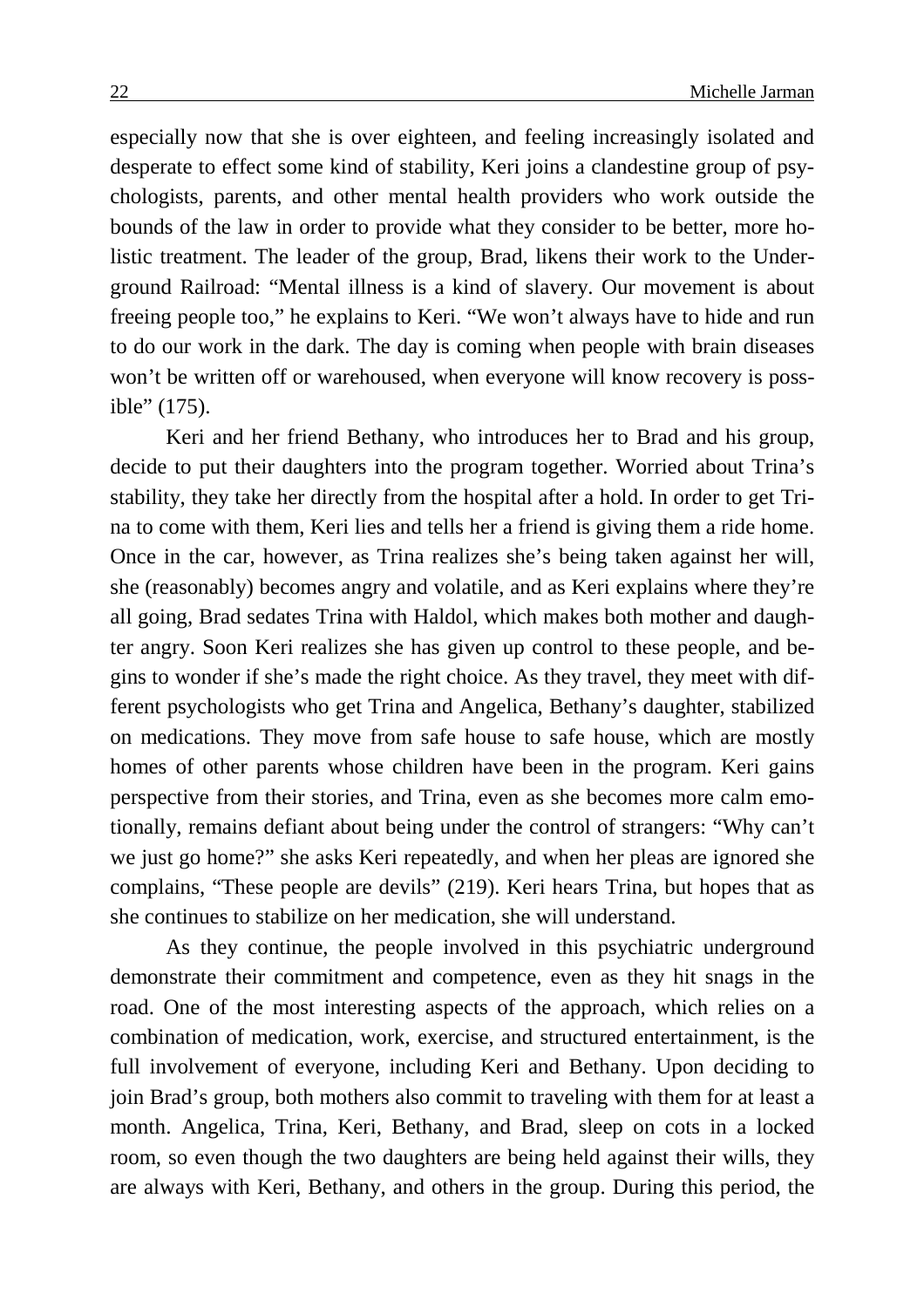especially now that she is over eighteen, and feeling increasingly isolated and desperate to effect some kind of stability, Keri joins a clandestine group of psychologists, parents, and other mental health providers who work outside the bounds of the law in order to provide what they consider to be better, more holistic treatment. The leader of the group, Brad, likens their work to the Underground Railroad: "Mental illness is a kind of slavery. Our movement is about freeing people too," he explains to Keri. "We won't always have to hide and run to do our work in the dark. The day is coming when people with brain diseases won't be written off or warehoused, when everyone will know recovery is possible" (175).

Keri and her friend Bethany, who introduces her to Brad and his group, decide to put their daughters into the program together. Worried about Trina's stability, they take her directly from the hospital after a hold. In order to get Trina to come with them, Keri lies and tells her a friend is giving them a ride home. Once in the car, however, as Trina realizes she's being taken against her will, she (reasonably) becomes angry and volatile, and as Keri explains where they're all going, Brad sedates Trina with Haldol, which makes both mother and daughter angry. Soon Keri realizes she has given up control to these people, and begins to wonder if she's made the right choice. As they travel, they meet with different psychologists who get Trina and Angelica, Bethany's daughter, stabilized on medications. They move from safe house to safe house, which are mostly homes of other parents whose children have been in the program. Keri gains perspective from their stories, and Trina, even as she becomes more calm emotionally, remains defiant about being under the control of strangers: "Why can't we just go home?" she asks Keri repeatedly, and when her pleas are ignored she complains, "These people are devils" (219). Keri hears Trina, but hopes that as she continues to stabilize on her medication, she will understand.

As they continue, the people involved in this psychiatric underground demonstrate their commitment and competence, even as they hit snags in the road. One of the most interesting aspects of the approach, which relies on a combination of medication, work, exercise, and structured entertainment, is the full involvement of everyone, including Keri and Bethany. Upon deciding to join Brad's group, both mothers also commit to traveling with them for at least a month. Angelica, Trina, Keri, Bethany, and Brad, sleep on cots in a locked room, so even though the two daughters are being held against their wills, they are always with Keri, Bethany, and others in the group. During this period, the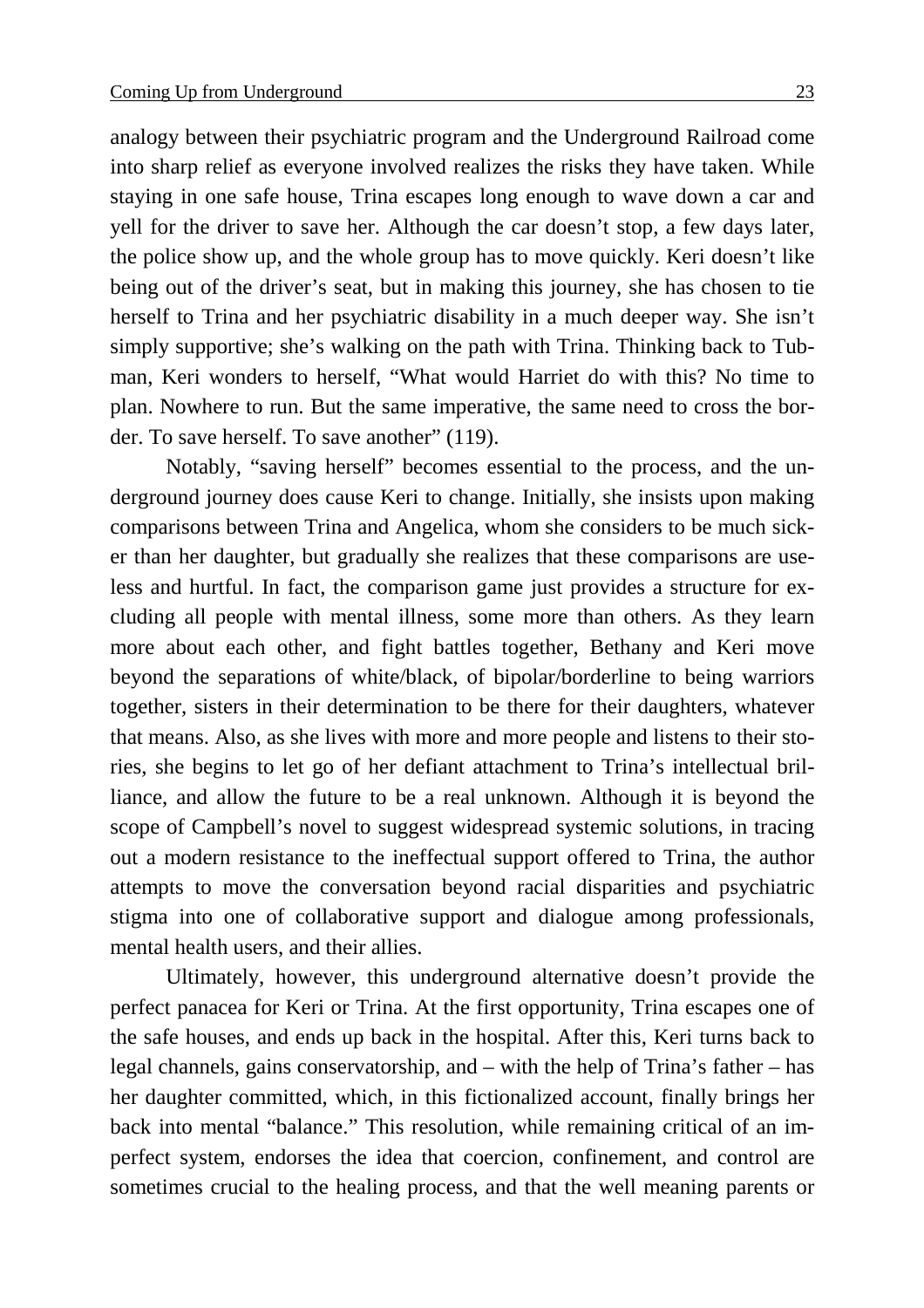analogy between their psychiatric program and the Underground Railroad come into sharp relief as everyone involved realizes the risks they have taken. While staying in one safe house, Trina escapes long enough to wave down a car and yell for the driver to save her. Although the car doesn't stop, a few days later, the police show up, and the whole group has to move quickly. Keri doesn't like being out of the driver's seat, but in making this journey, she has chosen to tie herself to Trina and her psychiatric disability in a much deeper way. She isn't simply supportive; she's walking on the path with Trina. Thinking back to Tubman, Keri wonders to herself, "What would Harriet do with this? No time to plan. Nowhere to run. But the same imperative, the same need to cross the border. To save herself. To save another" (119).

Notably, "saving herself" becomes essential to the process, and the underground journey does cause Keri to change. Initially, she insists upon making comparisons between Trina and Angelica, whom she considers to be much sicker than her daughter, but gradually she realizes that these comparisons are useless and hurtful. In fact, the comparison game just provides a structure for excluding all people with mental illness, some more than others. As they learn more about each other, and fight battles together, Bethany and Keri move beyond the separations of white/black, of bipolar/borderline to being warriors together, sisters in their determination to be there for their daughters, whatever that means. Also, as she lives with more and more people and listens to their stories, she begins to let go of her defiant attachment to Trina's intellectual brilliance, and allow the future to be a real unknown. Although it is beyond the scope of Campbell's novel to suggest widespread systemic solutions, in tracing out a modern resistance to the ineffectual support offered to Trina, the author attempts to move the conversation beyond racial disparities and psychiatric stigma into one of collaborative support and dialogue among professionals, mental health users, and their allies.

Ultimately, however, this underground alternative doesn't provide the perfect panacea for Keri or Trina. At the first opportunity, Trina escapes one of the safe houses, and ends up back in the hospital. After this, Keri turns back to legal channels, gains conservatorship, and – with the help of Trina's father – has her daughter committed, which, in this fictionalized account, finally brings her back into mental "balance." This resolution, while remaining critical of an imperfect system, endorses the idea that coercion, confinement, and control are sometimes crucial to the healing process, and that the well meaning parents or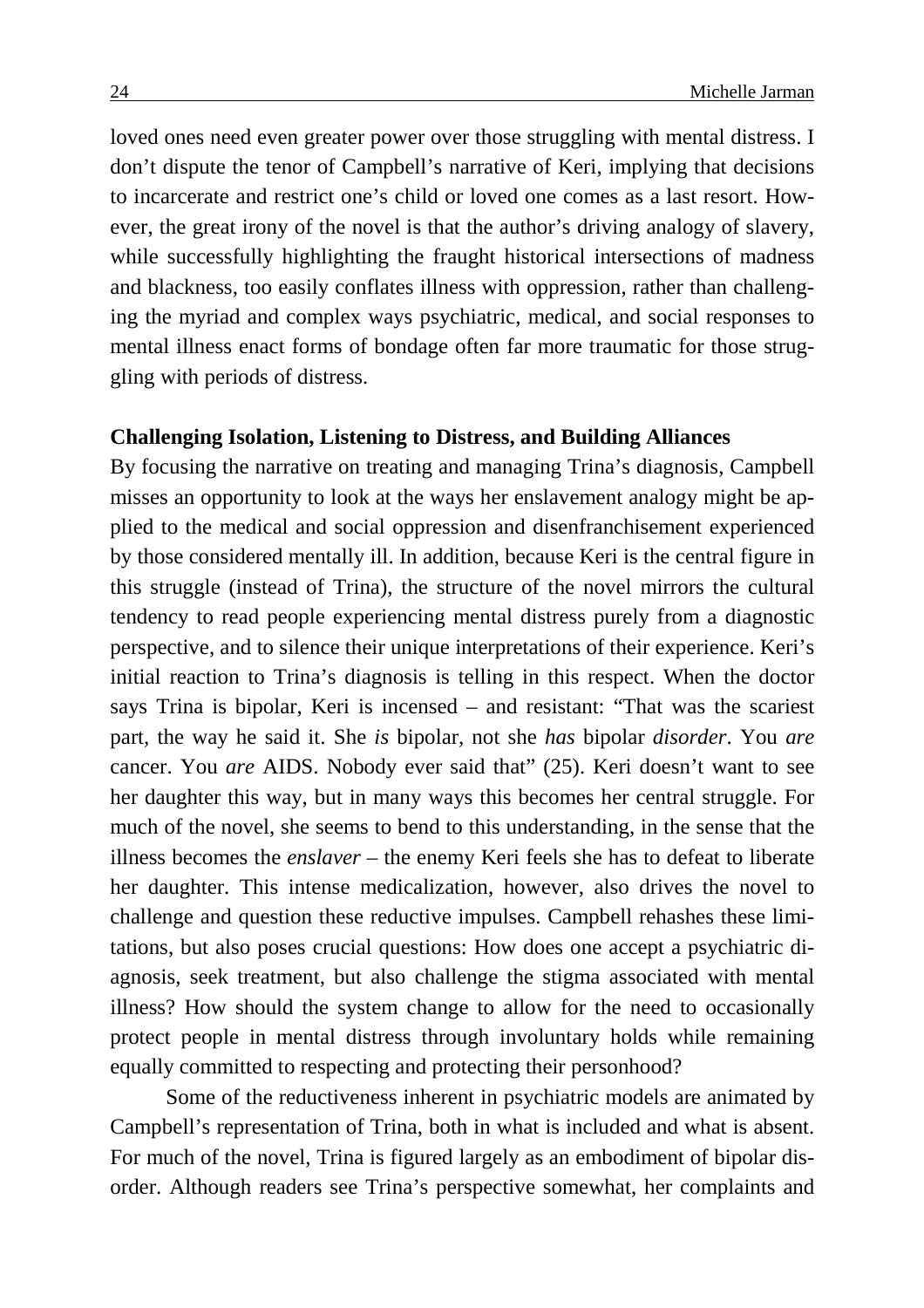loved ones need even greater power over those struggling with mental distress. I don't dispute the tenor of Campbell's narrative of Keri, implying that decisions to incarcerate and restrict one's child or loved one comes as a last resort. However, the great irony of the novel is that the author's driving analogy of slavery, while successfully highlighting the fraught historical intersections of madness and blackness, too easily conflates illness with oppression, rather than challenging the myriad and complex ways psychiatric, medical, and social responses to mental illness enact forms of bondage often far more traumatic for those struggling with periods of distress.

#### **Challenging Isolation, Listening to Distress, and Building Alliances**

By focusing the narrative on treating and managing Trina's diagnosis, Campbell misses an opportunity to look at the ways her enslavement analogy might be applied to the medical and social oppression and disenfranchisement experienced by those considered mentally ill. In addition, because Keri is the central figure in this struggle (instead of Trina), the structure of the novel mirrors the cultural tendency to read people experiencing mental distress purely from a diagnostic perspective, and to silence their unique interpretations of their experience. Keri's initial reaction to Trina's diagnosis is telling in this respect. When the doctor says Trina is bipolar, Keri is incensed – and resistant: "That was the scariest part, the way he said it. She *is* bipolar, not she *has* bipolar *disorder*. You *are* cancer. You *are* AIDS. Nobody ever said that" (25). Keri doesn't want to see her daughter this way, but in many ways this becomes her central struggle. For much of the novel, she seems to bend to this understanding, in the sense that the illness becomes the *enslaver* – the enemy Keri feels she has to defeat to liberate her daughter. This intense medicalization, however, also drives the novel to challenge and question these reductive impulses. Campbell rehashes these limitations, but also poses crucial questions: How does one accept a psychiatric diagnosis, seek treatment, but also challenge the stigma associated with mental illness? How should the system change to allow for the need to occasionally protect people in mental distress through involuntary holds while remaining equally committed to respecting and protecting their personhood?

Some of the reductiveness inherent in psychiatric models are animated by Campbell's representation of Trina, both in what is included and what is absent. For much of the novel, Trina is figured largely as an embodiment of bipolar disorder. Although readers see Trina's perspective somewhat, her complaints and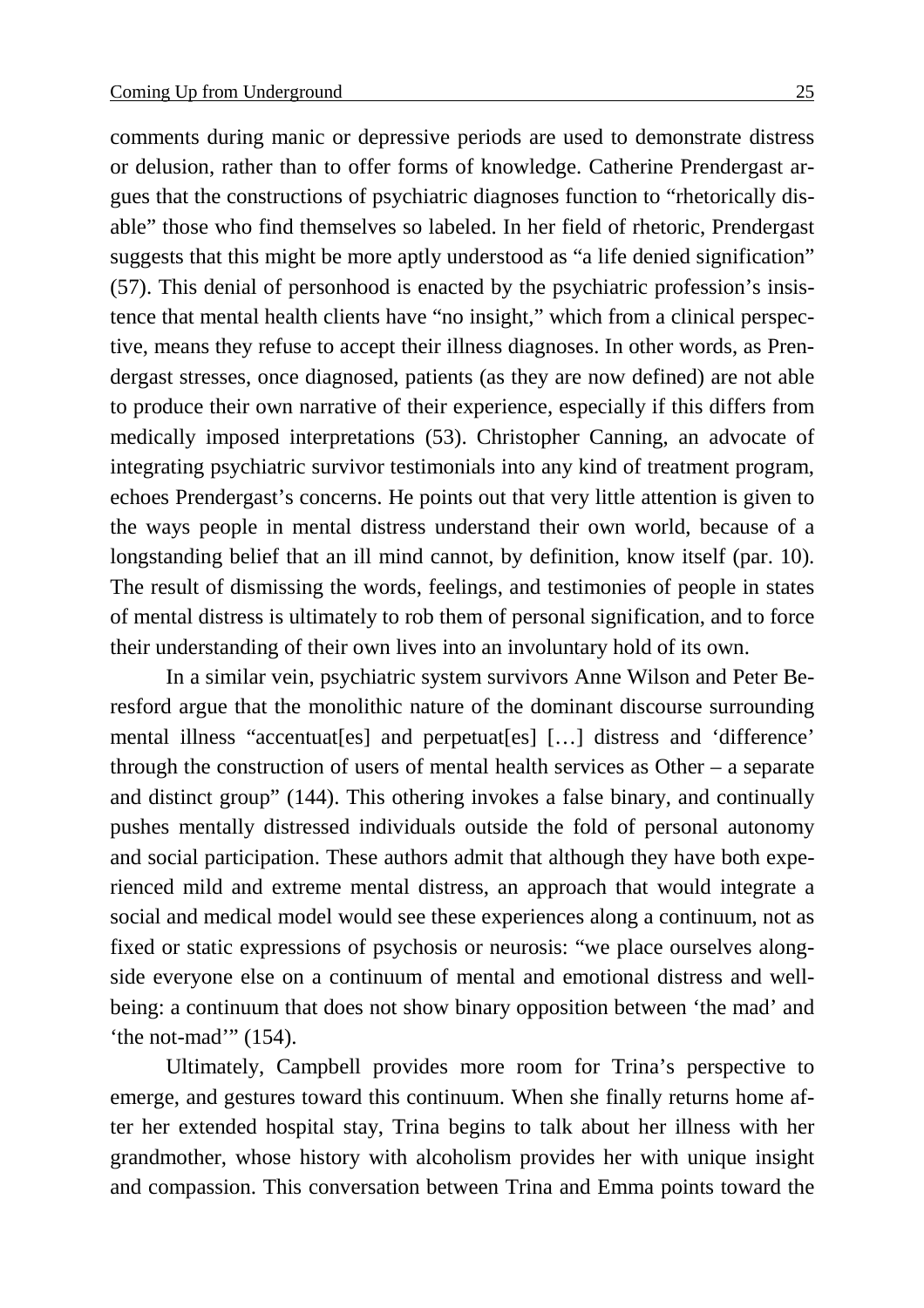comments during manic or depressive periods are used to demonstrate distress or delusion, rather than to offer forms of knowledge. Catherine Prendergast argues that the constructions of psychiatric diagnoses function to "rhetorically disable" those who find themselves so labeled. In her field of rhetoric, Prendergast suggests that this might be more aptly understood as "a life denied signification" (57). This denial of personhood is enacted by the psychiatric profession's insistence that mental health clients have "no insight," which from a clinical perspective, means they refuse to accept their illness diagnoses. In other words, as Prendergast stresses, once diagnosed, patients (as they are now defined) are not able to produce their own narrative of their experience, especially if this differs from medically imposed interpretations (53). Christopher Canning, an advocate of integrating psychiatric survivor testimonials into any kind of treatment program, echoes Prendergast's concerns. He points out that very little attention is given to the ways people in mental distress understand their own world, because of a longstanding belief that an ill mind cannot, by definition, know itself (par. 10). The result of dismissing the words, feelings, and testimonies of people in states of mental distress is ultimately to rob them of personal signification, and to force their understanding of their own lives into an involuntary hold of its own.

In a similar vein, psychiatric system survivors Anne Wilson and Peter Beresford argue that the monolithic nature of the dominant discourse surrounding mental illness "accentuat[es] and perpetuat[es] […] distress and 'difference' through the construction of users of mental health services as Other – a separate and distinct group" (144). This othering invokes a false binary, and continually pushes mentally distressed individuals outside the fold of personal autonomy and social participation. These authors admit that although they have both experienced mild and extreme mental distress, an approach that would integrate a social and medical model would see these experiences along a continuum, not as fixed or static expressions of psychosis or neurosis: "we place ourselves alongside everyone else on a continuum of mental and emotional distress and wellbeing: a continuum that does not show binary opposition between 'the mad' and 'the not-mad'" (154).

Ultimately, Campbell provides more room for Trina's perspective to emerge, and gestures toward this continuum. When she finally returns home after her extended hospital stay, Trina begins to talk about her illness with her grandmother, whose history with alcoholism provides her with unique insight and compassion. This conversation between Trina and Emma points toward the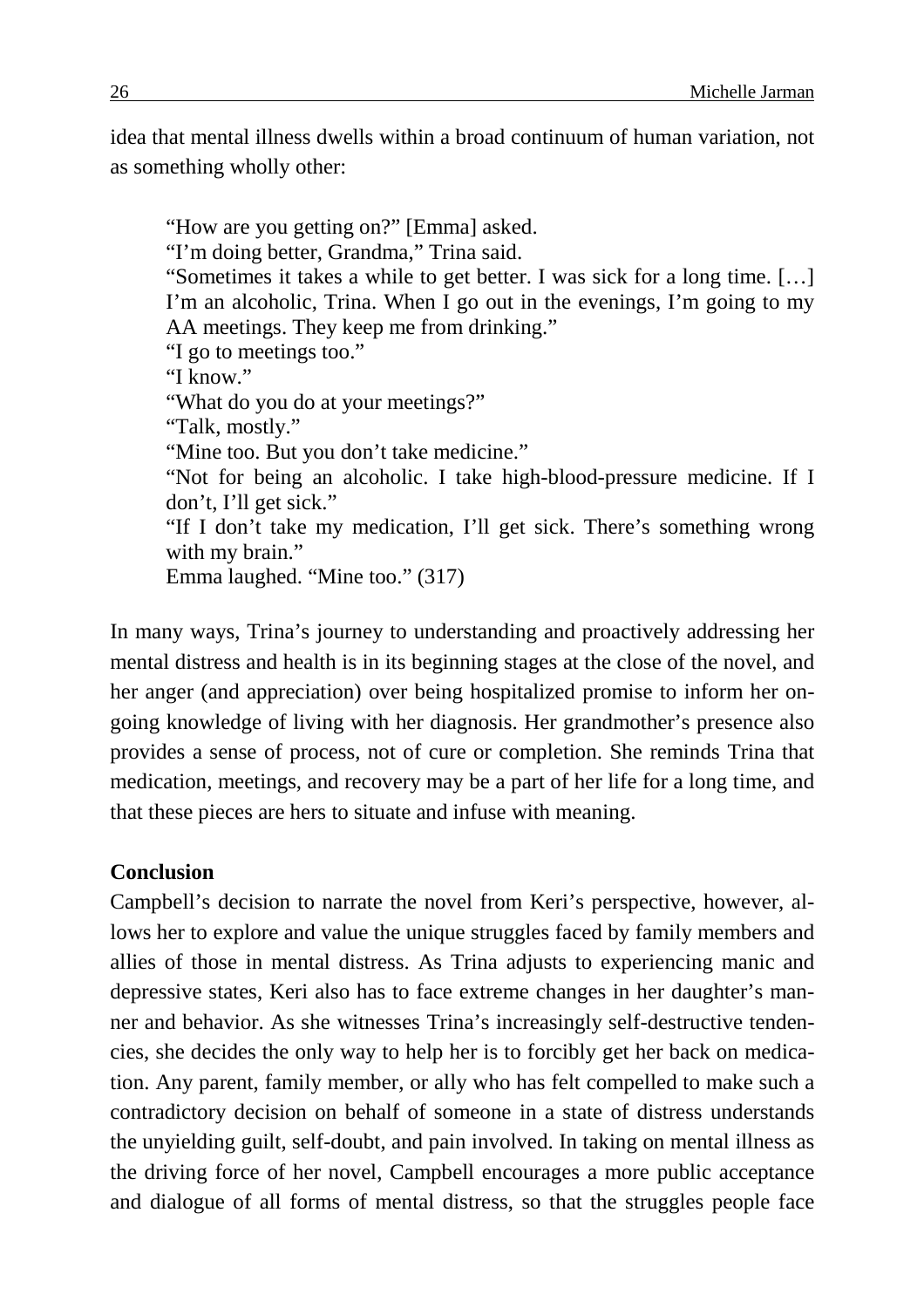idea that mental illness dwells within a broad continuum of human variation, not as something wholly other:

"How are you getting on?" [Emma] asked. "I'm doing better, Grandma," Trina said. "Sometimes it takes a while to get better. I was sick for a long time. […] I'm an alcoholic, Trina. When I go out in the evenings, I'm going to my AA meetings. They keep me from drinking." "I go to meetings too." "I know." "What do you do at your meetings?" "Talk, mostly." "Mine too. But you don't take medicine." "Not for being an alcoholic. I take high-blood-pressure medicine. If I don't, I'll get sick." "If I don't take my medication, I'll get sick. There's something wrong with my brain." Emma laughed. "Mine too." (317)

In many ways, Trina's journey to understanding and proactively addressing her mental distress and health is in its beginning stages at the close of the novel, and her anger (and appreciation) over being hospitalized promise to inform her ongoing knowledge of living with her diagnosis. Her grandmother's presence also provides a sense of process, not of cure or completion. She reminds Trina that medication, meetings, and recovery may be a part of her life for a long time, and that these pieces are hers to situate and infuse with meaning.

## **Conclusion**

Campbell's decision to narrate the novel from Keri's perspective, however, allows her to explore and value the unique struggles faced by family members and allies of those in mental distress. As Trina adjusts to experiencing manic and depressive states, Keri also has to face extreme changes in her daughter's manner and behavior. As she witnesses Trina's increasingly self-destructive tendencies, she decides the only way to help her is to forcibly get her back on medication. Any parent, family member, or ally who has felt compelled to make such a contradictory decision on behalf of someone in a state of distress understands the unyielding guilt, self-doubt, and pain involved. In taking on mental illness as the driving force of her novel, Campbell encourages a more public acceptance and dialogue of all forms of mental distress, so that the struggles people face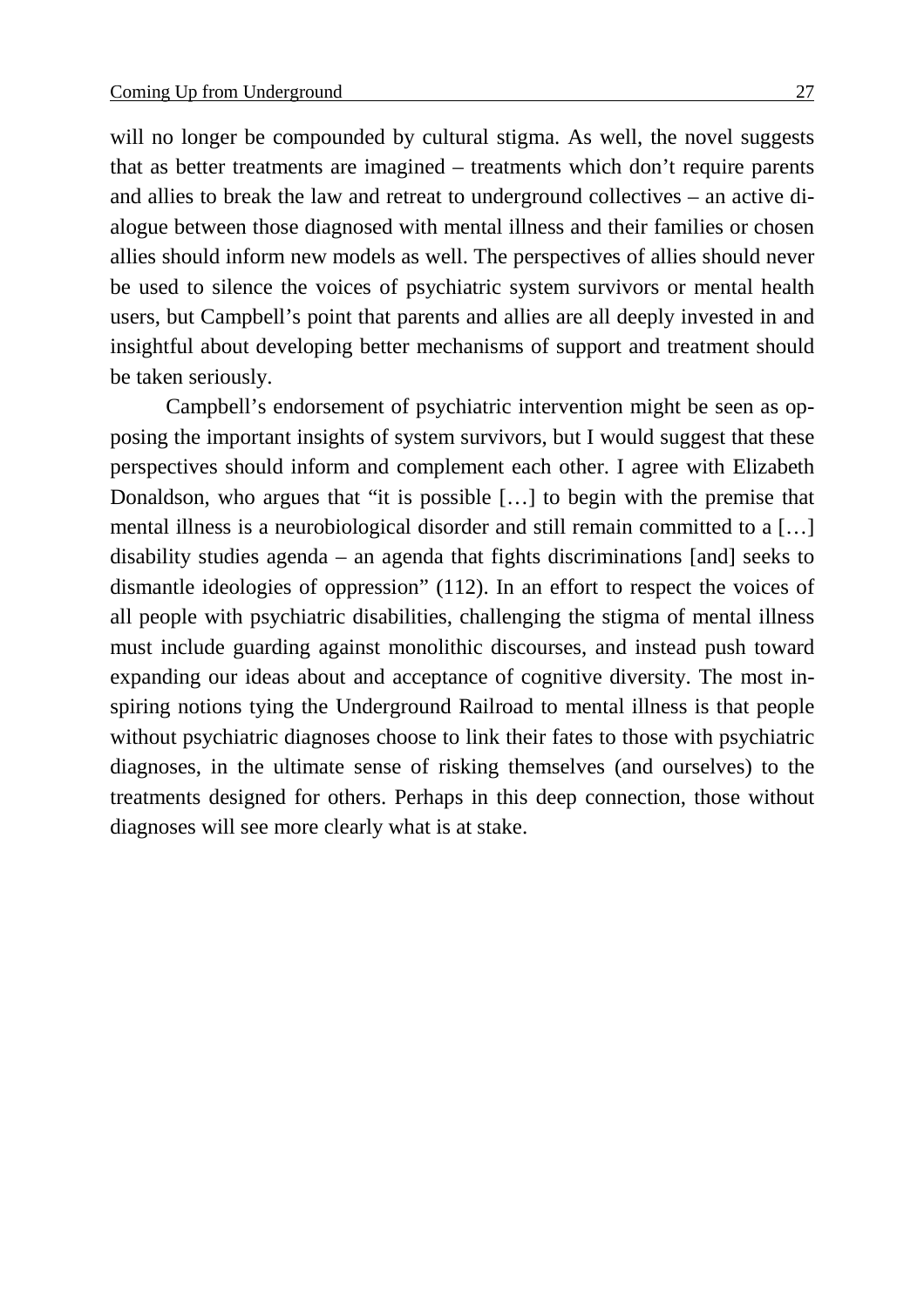will no longer be compounded by cultural stigma. As well, the novel suggests that as better treatments are imagined – treatments which don't require parents and allies to break the law and retreat to underground collectives – an active dialogue between those diagnosed with mental illness and their families or chosen allies should inform new models as well. The perspectives of allies should never be used to silence the voices of psychiatric system survivors or mental health users, but Campbell's point that parents and allies are all deeply invested in and insightful about developing better mechanisms of support and treatment should be taken seriously.

Campbell's endorsement of psychiatric intervention might be seen as opposing the important insights of system survivors, but I would suggest that these perspectives should inform and complement each other. I agree with Elizabeth Donaldson, who argues that "it is possible […] to begin with the premise that mental illness is a neurobiological disorder and still remain committed to a […] disability studies agenda – an agenda that fights discriminations [and] seeks to dismantle ideologies of oppression" (112). In an effort to respect the voices of all people with psychiatric disabilities, challenging the stigma of mental illness must include guarding against monolithic discourses, and instead push toward expanding our ideas about and acceptance of cognitive diversity. The most inspiring notions tying the Underground Railroad to mental illness is that people without psychiatric diagnoses choose to link their fates to those with psychiatric diagnoses, in the ultimate sense of risking themselves (and ourselves) to the treatments designed for others. Perhaps in this deep connection, those without diagnoses will see more clearly what is at stake.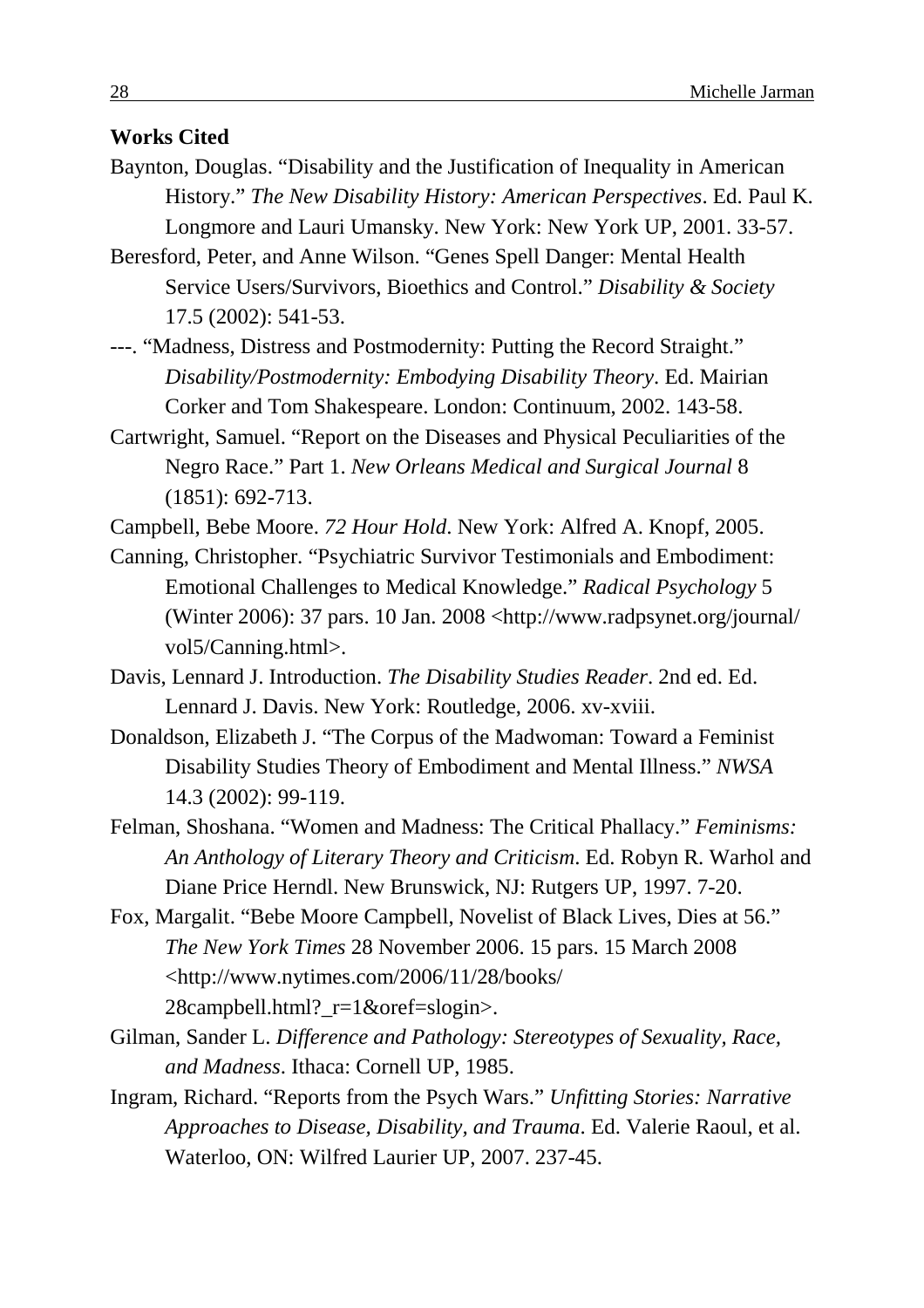#### **Works Cited**

- Baynton, Douglas. "Disability and the Justification of Inequality in American History." *The New Disability History: American Perspectives*. Ed. Paul K. Longmore and Lauri Umansky. New York: New York UP, 2001. 33-57.
- Beresford, Peter, and Anne Wilson. "Genes Spell Danger: Mental Health Service Users/Survivors, Bioethics and Control." *Disability & Society* 17.5 (2002): 541-53.
- ---. "Madness, Distress and Postmodernity: Putting the Record Straight." *Disability/Postmodernity: Embodying Disability Theory*. Ed. Mairian Corker and Tom Shakespeare. London: Continuum, 2002. 143-58.
- Cartwright, Samuel. "Report on the Diseases and Physical Peculiarities of the Negro Race." Part 1. *New Orleans Medical and Surgical Journal* 8 (1851): 692-713.

Campbell, Bebe Moore. *72 Hour Hold*. New York: Alfred A. Knopf, 2005.

- Canning, Christopher. "Psychiatric Survivor Testimonials and Embodiment: Emotional Challenges to Medical Knowledge." *Radical Psychology* 5 (Winter 2006): 37 pars. 10 Jan. 2008 <http://www.radpsynet.org/journal/ vol5/Canning.html>.
- Davis, Lennard J. Introduction. *The Disability Studies Reader*. 2nd ed. Ed. Lennard J. Davis. New York: Routledge, 2006. xv-xviii.
- Donaldson, Elizabeth J. "The Corpus of the Madwoman: Toward a Feminist Disability Studies Theory of Embodiment and Mental Illness." *NWSA* 14.3 (2002): 99-119.
- Felman, Shoshana. "Women and Madness: The Critical Phallacy." *Feminisms: An Anthology of Literary Theory and Criticism*. Ed. Robyn R. Warhol and Diane Price Herndl. New Brunswick, NJ: Rutgers UP, 1997. 7-20.
- Fox, Margalit. "Bebe Moore Campbell, Novelist of Black Lives, Dies at 56." *The New York Times* 28 November 2006. 15 pars. 15 March 2008 <http://www.nytimes.com/2006/11/28/books/ 28campbell.html?\_r=1&oref=slogin>.
- Gilman, Sander L. *Difference and Pathology: Stereotypes of Sexuality, Race, and Madness*. Ithaca: Cornell UP, 1985.
- Ingram, Richard. "Reports from the Psych Wars." *Unfitting Stories: Narrative Approaches to Disease, Disability, and Trauma*. Ed. Valerie Raoul, et al. Waterloo, ON: Wilfred Laurier UP, 2007. 237-45.